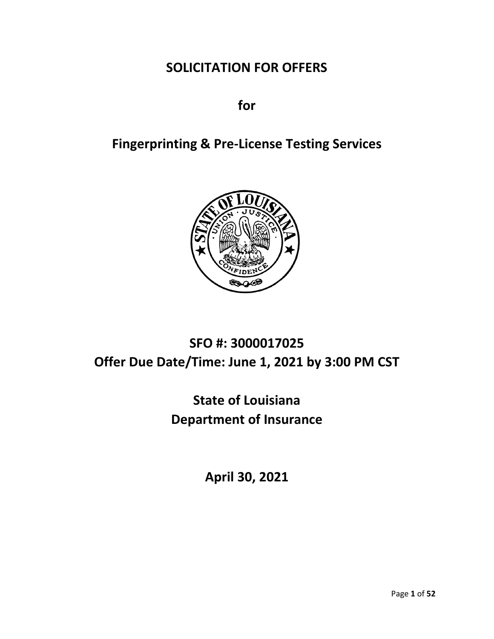# **SOLICITATION FOR OFFERS**

**for**

# **Fingerprinting & Pre-License Testing Services**



# **SFO #: 3000017025 Offer Due Date/Time: June 1, 2021 by 3:00 PM CST**

# **State of Louisiana Department of Insurance**

**April 30, 2021**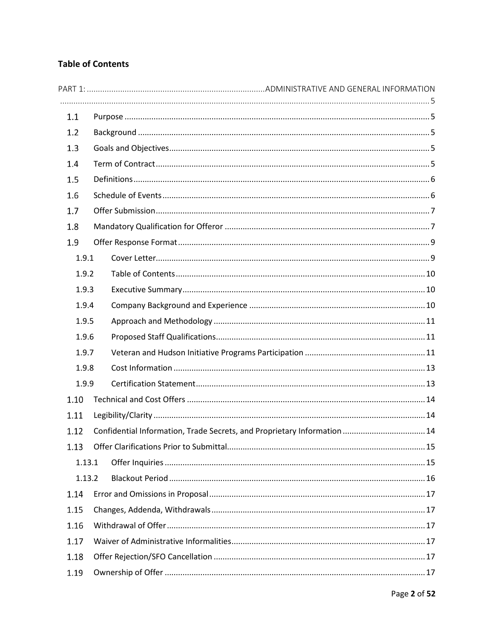## **Table of Contents**

| 1.1    |                                                                          |
|--------|--------------------------------------------------------------------------|
| 1.2    |                                                                          |
| 1.3    |                                                                          |
| 1.4    |                                                                          |
| 1.5    |                                                                          |
| 1.6    |                                                                          |
| 1.7    |                                                                          |
| 1.8    |                                                                          |
| 1.9    |                                                                          |
| 1.9.1  |                                                                          |
| 1.9.2  |                                                                          |
| 1.9.3  |                                                                          |
| 1.9.4  |                                                                          |
| 1.9.5  |                                                                          |
| 1.9.6  |                                                                          |
| 1.9.7  |                                                                          |
| 1.9.8  |                                                                          |
| 1.9.9  |                                                                          |
| 1.10   |                                                                          |
| 1.11   |                                                                          |
| 1.12   | Confidential Information, Trade Secrets, and Proprietary Information  14 |
| 1.13   |                                                                          |
| 1.13.1 |                                                                          |
| 1.13.2 |                                                                          |
| 1.14   |                                                                          |
| 1.15   |                                                                          |
| 1.16   |                                                                          |
| 1.17   |                                                                          |
| 1.18   |                                                                          |
| 1.19   |                                                                          |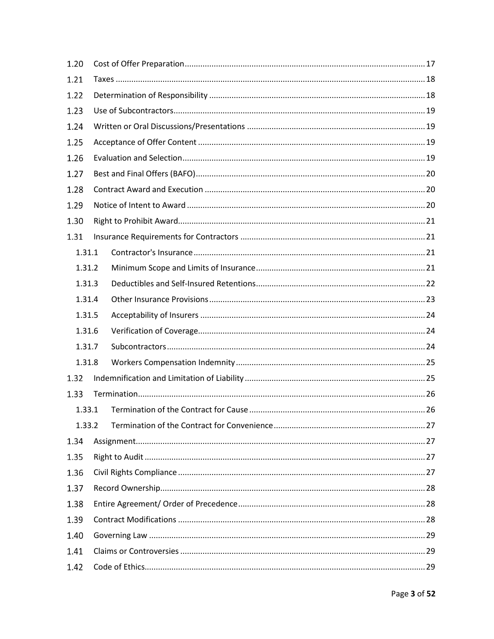| 1.20   |  |  |  |  |  |  |
|--------|--|--|--|--|--|--|
| 1.21   |  |  |  |  |  |  |
| 1.22   |  |  |  |  |  |  |
| 1.23   |  |  |  |  |  |  |
| 1.24   |  |  |  |  |  |  |
| 1.25   |  |  |  |  |  |  |
| 1.26   |  |  |  |  |  |  |
| 1.27   |  |  |  |  |  |  |
| 1.28   |  |  |  |  |  |  |
| 1.29   |  |  |  |  |  |  |
| 1.30   |  |  |  |  |  |  |
| 1.31   |  |  |  |  |  |  |
| 1.31.1 |  |  |  |  |  |  |
| 1.31.2 |  |  |  |  |  |  |
| 1.31.3 |  |  |  |  |  |  |
| 1.31.4 |  |  |  |  |  |  |
| 1.31.5 |  |  |  |  |  |  |
| 1.31.6 |  |  |  |  |  |  |
| 1.31.7 |  |  |  |  |  |  |
| 1.31.8 |  |  |  |  |  |  |
| 1.32   |  |  |  |  |  |  |
| 1.33   |  |  |  |  |  |  |
| 1.33.1 |  |  |  |  |  |  |
| 1.33.2 |  |  |  |  |  |  |
| 1.34   |  |  |  |  |  |  |
| 1.35   |  |  |  |  |  |  |
| 1.36   |  |  |  |  |  |  |
| 1.37   |  |  |  |  |  |  |
| 1.38   |  |  |  |  |  |  |
| 1.39   |  |  |  |  |  |  |
| 1.40   |  |  |  |  |  |  |
| 1.41   |  |  |  |  |  |  |
| 1.42   |  |  |  |  |  |  |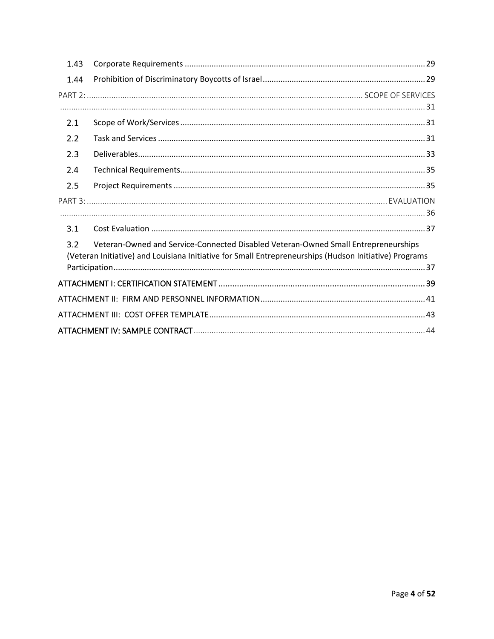| 1.43 |                                                                                                                                                                                              |
|------|----------------------------------------------------------------------------------------------------------------------------------------------------------------------------------------------|
| 1.44 |                                                                                                                                                                                              |
|      |                                                                                                                                                                                              |
|      |                                                                                                                                                                                              |
| 2.1  |                                                                                                                                                                                              |
| 2.2  |                                                                                                                                                                                              |
| 2.3  |                                                                                                                                                                                              |
| 2.4  |                                                                                                                                                                                              |
| 2.5  |                                                                                                                                                                                              |
|      |                                                                                                                                                                                              |
|      |                                                                                                                                                                                              |
| 3.1  |                                                                                                                                                                                              |
| 3.2  | Veteran-Owned and Service-Connected Disabled Veteran-Owned Small Entrepreneurships<br>(Veteran Initiative) and Louisiana Initiative for Small Entrepreneurships (Hudson Initiative) Programs |
|      |                                                                                                                                                                                              |
|      |                                                                                                                                                                                              |
|      |                                                                                                                                                                                              |
|      |                                                                                                                                                                                              |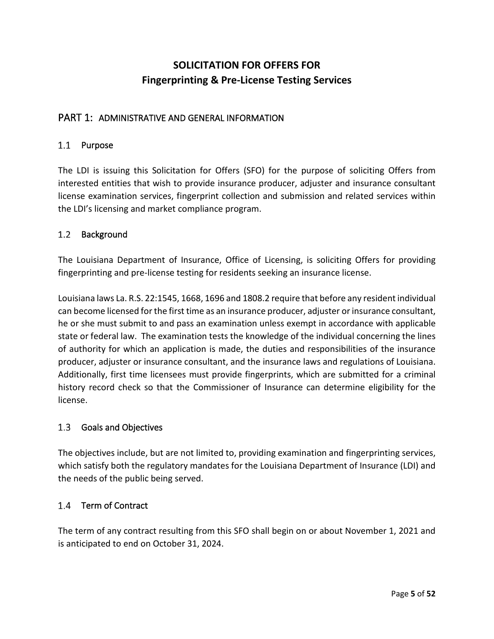# **SOLICITATION FOR OFFERS FOR Fingerprinting & Pre-License Testing Services**

### <span id="page-4-0"></span>PART 1: ADMINISTRATIVE AND GENERAL INFORMATION

#### <span id="page-4-1"></span>1.1 Purpose

The LDI is issuing this Solicitation for Offers (SFO) for the purpose of soliciting Offers from interested entities that wish to provide insurance producer, adjuster and insurance consultant license examination services, fingerprint collection and submission and related services within the LDI's licensing and market compliance program.

#### <span id="page-4-2"></span> $1.2$ Background

The Louisiana Department of Insurance, Office of Licensing, is soliciting Offers for providing fingerprinting and pre-license testing for residents seeking an insurance license.

Louisiana laws La. R.S. 22:1545, 1668, 1696 and 1808.2 require that before any resident individual can become licensed for the first time as an insurance producer, adjuster or insurance consultant, he or she must submit to and pass an examination unless exempt in accordance with applicable state or federal law. The examination tests the knowledge of the individual concerning the lines of authority for which an application is made, the duties and responsibilities of the insurance producer, adjuster or insurance consultant, and the insurance laws and regulations of Louisiana. Additionally, first time licensees must provide fingerprints, which are submitted for a criminal history record check so that the Commissioner of Insurance can determine eligibility for the license.

#### <span id="page-4-3"></span> $1.3$ Goals and Objectives

The objectives include, but are not limited to, providing examination and fingerprinting services, which satisfy both the regulatory mandates for the Louisiana Department of Insurance (LDI) and the needs of the public being served.

### <span id="page-4-4"></span>1.4 Term of Contract

The term of any contract resulting from this SFO shall begin on or about November 1, 2021 and is anticipated to end on October 31, 2024.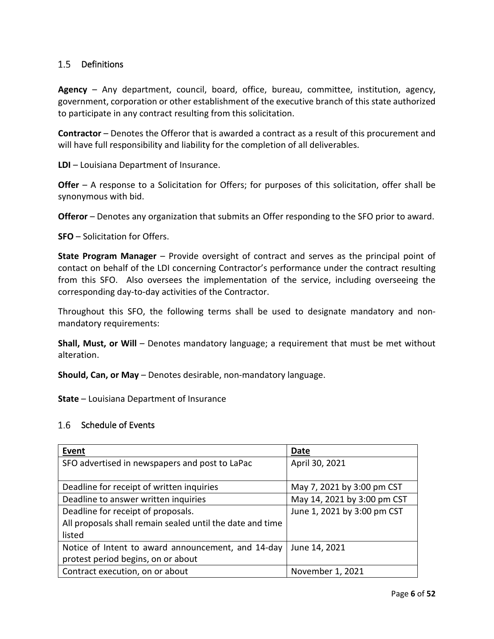#### <span id="page-5-0"></span>1.5 Definitions

**Agency** – Any department, council, board, office, bureau, committee, institution, agency, government, corporation or other establishment of the executive branch of this state authorized to participate in any contract resulting from this solicitation.

**Contractor** – Denotes the Offeror that is awarded a contract as a result of this procurement and will have full responsibility and liability for the completion of all deliverables.

**LDI** – Louisiana Department of Insurance.

**Offer** – A response to a Solicitation for Offers; for purposes of this solicitation, offer shall be synonymous with bid.

**Offeror** – Denotes any organization that submits an Offer responding to the SFO prior to award.

**SFO** – Solicitation for Offers.

**State Program Manager** – Provide oversight of contract and serves as the principal point of contact on behalf of the LDI concerning Contractor's performance under the contract resulting from this SFO. Also oversees the implementation of the service, including overseeing the corresponding day-to-day activities of the Contractor.

Throughout this SFO, the following terms shall be used to designate mandatory and nonmandatory requirements:

**Shall, Must, or Will** – Denotes mandatory language; a requirement that must be met without alteration.

**Should, Can, or May** – Denotes desirable, non-mandatory language.

**State** – Louisiana Department of Insurance

#### <span id="page-5-1"></span>1.6 Schedule of Events

| Event                                                     | Date                        |  |  |
|-----------------------------------------------------------|-----------------------------|--|--|
| SFO advertised in newspapers and post to LaPac            | April 30, 2021              |  |  |
|                                                           |                             |  |  |
| Deadline for receipt of written inquiries                 | May 7, 2021 by 3:00 pm CST  |  |  |
| Deadline to answer written inquiries                      | May 14, 2021 by 3:00 pm CST |  |  |
| Deadline for receipt of proposals.                        | June 1, 2021 by 3:00 pm CST |  |  |
| All proposals shall remain sealed until the date and time |                             |  |  |
| listed                                                    |                             |  |  |
| Notice of Intent to award announcement, and 14-day        | June 14, 2021               |  |  |
| protest period begins, on or about                        |                             |  |  |
| Contract execution, on or about                           | November 1, 2021            |  |  |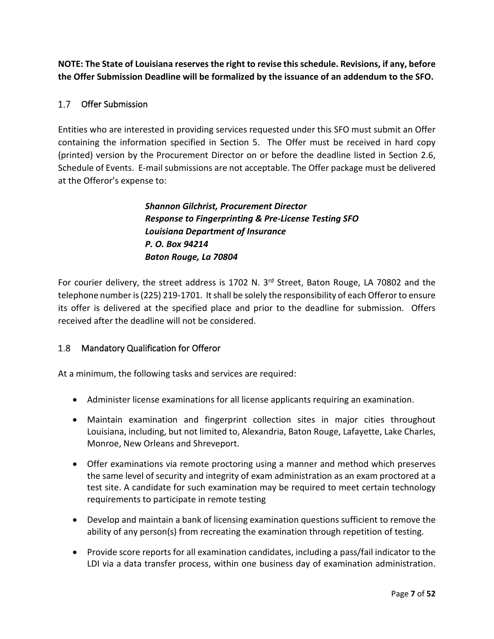**NOTE: The State of Louisiana reserves the right to revise this schedule. Revisions, if any, before the Offer Submission Deadline will be formalized by the issuance of an addendum to the SFO.**

### <span id="page-6-0"></span>1.7 Offer Submission

Entities who are interested in providing services requested under this SFO must submit an Offer containing the information specified in Section 5. The Offer must be received in hard copy (printed) version by the Procurement Director on or before the deadline listed in Section 2.6, Schedule of Events. E-mail submissions are not acceptable. The Offer package must be delivered at the Offeror's expense to:

> *Shannon Gilchrist, Procurement Director Response to Fingerprinting & Pre-License Testing SFO Louisiana Department of Insurance P. O. Box 94214 Baton Rouge, La 70804*

For courier delivery, the street address is 1702 N. 3<sup>rd</sup> Street, Baton Rouge, LA 70802 and the telephone number is (225) 219-1701. It shall be solely the responsibility of each Offeror to ensure its offer is delivered at the specified place and prior to the deadline for submission. Offers received after the deadline will not be considered.

### <span id="page-6-1"></span>1.8 Mandatory Qualification for Offeror

At a minimum, the following tasks and services are required:

- Administer license examinations for all license applicants requiring an examination.
- Maintain examination and fingerprint collection sites in major cities throughout Louisiana, including, but not limited to, Alexandria, Baton Rouge, Lafayette, Lake Charles, Monroe, New Orleans and Shreveport.
- Offer examinations via remote proctoring using a manner and method which preserves the same level of security and integrity of exam administration as an exam proctored at a test site. A candidate for such examination may be required to meet certain technology requirements to participate in remote testing
- Develop and maintain a bank of licensing examination questions sufficient to remove the ability of any person(s) from recreating the examination through repetition of testing.
- Provide score reports for all examination candidates, including a pass/fail indicator to the LDI via a data transfer process, within one business day of examination administration.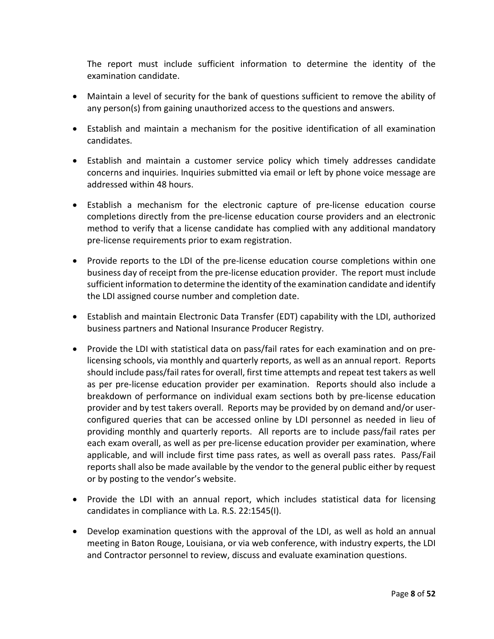The report must include sufficient information to determine the identity of the examination candidate.

- Maintain a level of security for the bank of questions sufficient to remove the ability of any person(s) from gaining unauthorized access to the questions and answers.
- Establish and maintain a mechanism for the positive identification of all examination candidates.
- Establish and maintain a customer service policy which timely addresses candidate concerns and inquiries. Inquiries submitted via email or left by phone voice message are addressed within 48 hours.
- Establish a mechanism for the electronic capture of pre-license education course completions directly from the pre-license education course providers and an electronic method to verify that a license candidate has complied with any additional mandatory pre-license requirements prior to exam registration.
- Provide reports to the LDI of the pre-license education course completions within one business day of receipt from the pre-license education provider. The report must include sufficient information to determine the identity of the examination candidate and identify the LDI assigned course number and completion date.
- Establish and maintain Electronic Data Transfer (EDT) capability with the LDI, authorized business partners and National Insurance Producer Registry.
- Provide the LDI with statistical data on pass/fail rates for each examination and on prelicensing schools, via monthly and quarterly reports, as well as an annual report. Reports should include pass/fail rates for overall, first time attempts and repeat test takers as well as per pre-license education provider per examination. Reports should also include a breakdown of performance on individual exam sections both by pre-license education provider and by test takers overall. Reports may be provided by on demand and/or userconfigured queries that can be accessed online by LDI personnel as needed in lieu of providing monthly and quarterly reports. All reports are to include pass/fail rates per each exam overall, as well as per pre-license education provider per examination, where applicable, and will include first time pass rates, as well as overall pass rates. Pass/Fail reports shall also be made available by the vendor to the general public either by request or by posting to the vendor's website.
- Provide the LDI with an annual report, which includes statistical data for licensing candidates in compliance with La. R.S. 22:1545(I).
- Develop examination questions with the approval of the LDI, as well as hold an annual meeting in Baton Rouge, Louisiana, or via web conference, with industry experts, the LDI and Contractor personnel to review, discuss and evaluate examination questions.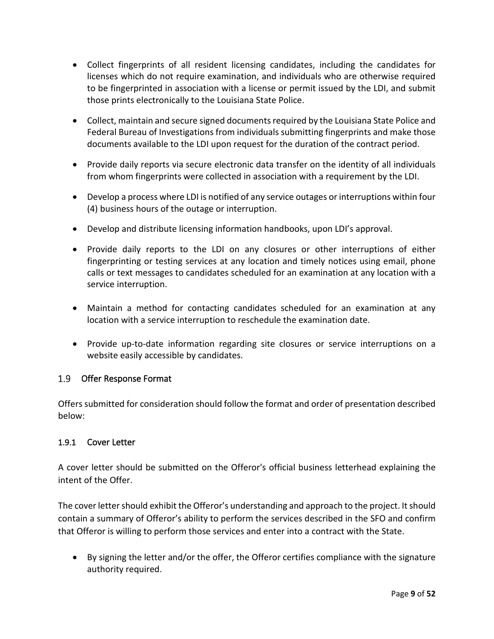- Collect fingerprints of all resident licensing candidates, including the candidates for licenses which do not require examination, and individuals who are otherwise required to be fingerprinted in association with a license or permit issued by the LDI, and submit those prints electronically to the Louisiana State Police.
- Collect, maintain and secure signed documents required by the Louisiana State Police and Federal Bureau of Investigations from individuals submitting fingerprints and make those documents available to the LDI upon request for the duration of the contract period.
- Provide daily reports via secure electronic data transfer on the identity of all individuals from whom fingerprints were collected in association with a requirement by the LDI.
- Develop a process where LDI is notified of any service outages or interruptions within four (4) business hours of the outage or interruption.
- Develop and distribute licensing information handbooks, upon LDI's approval.
- Provide daily reports to the LDI on any closures or other interruptions of either fingerprinting or testing services at any location and timely notices using email, phone calls or text messages to candidates scheduled for an examination at any location with a service interruption.
- Maintain a method for contacting candidates scheduled for an examination at any location with a service interruption to reschedule the examination date.
- Provide up-to-date information regarding site closures or service interruptions on a website easily accessible by candidates.

### <span id="page-8-0"></span>1.9 Offer Response Format

Offers submitted for consideration should follow the format and order of presentation described below:

### <span id="page-8-1"></span>1.9.1 Cover Letter

A cover letter should be submitted on the Offeror's official business letterhead explaining the intent of the Offer.

The cover letter should exhibit the Offeror's understanding and approach to the project. It should contain a summary of Offeror's ability to perform the services described in the SFO and confirm that Offeror is willing to perform those services and enter into a contract with the State.

• By signing the letter and/or the offer, the Offeror certifies compliance with the signature authority required.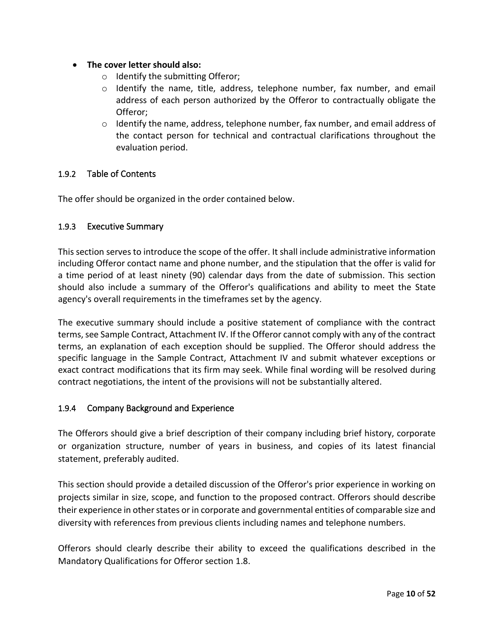- **The cover letter should also:**
	- o Identify the submitting Offeror;
	- o Identify the name, title, address, telephone number, fax number, and email address of each person authorized by the Offeror to contractually obligate the Offeror;
	- o Identify the name, address, telephone number, fax number, and email address of the contact person for technical and contractual clarifications throughout the evaluation period.

#### <span id="page-9-0"></span>1.9.2 Table of Contents

The offer should be organized in the order contained below.

#### <span id="page-9-1"></span>1.9.3 Executive Summary

This section serves to introduce the scope of the offer. It shall include administrative information including Offeror contact name and phone number, and the stipulation that the offer is valid for a time period of at least ninety (90) calendar days from the date of submission. This section should also include a summary of the Offeror's qualifications and ability to meet the State agency's overall requirements in the timeframes set by the agency.

The executive summary should include a positive statement of compliance with the contract terms, see Sample Contract, Attachment IV. If the Offeror cannot comply with any of the contract terms, an explanation of each exception should be supplied. The Offeror should address the specific language in the Sample Contract, Attachment IV and submit whatever exceptions or exact contract modifications that its firm may seek. While final wording will be resolved during contract negotiations, the intent of the provisions will not be substantially altered.

#### <span id="page-9-2"></span>1.9.4 Company Background and Experience

The Offerors should give a brief description of their company including brief history, corporate or organization structure, number of years in business, and copies of its latest financial statement, preferably audited.

This section should provide a detailed discussion of the Offeror's prior experience in working on projects similar in size, scope, and function to the proposed contract. Offerors should describe their experience in other states or in corporate and governmental entities of comparable size and diversity with references from previous clients including names and telephone numbers.

Offerors should clearly describe their ability to exceed the qualifications described in the Mandatory Qualifications for Offeror section 1.8.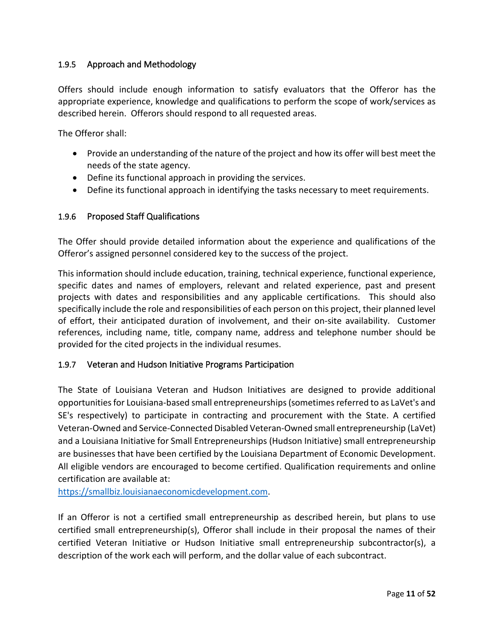#### <span id="page-10-0"></span>1.9.5 Approach and Methodology

Offers should include enough information to satisfy evaluators that the Offeror has the appropriate experience, knowledge and qualifications to perform the scope of work/services as described herein. Offerors should respond to all requested areas.

The Offeror shall:

- Provide an understanding of the nature of the project and how its offer will best meet the needs of the state agency.
- Define its functional approach in providing the services.
- Define its functional approach in identifying the tasks necessary to meet requirements.

#### <span id="page-10-1"></span>1.9.6 Proposed Staff Qualifications

The Offer should provide detailed information about the experience and qualifications of the Offeror's assigned personnel considered key to the success of the project.

This information should include education, training, technical experience, functional experience, specific dates and names of employers, relevant and related experience, past and present projects with dates and responsibilities and any applicable certifications. This should also specifically include the role and responsibilities of each person on this project, their planned level of effort, their anticipated duration of involvement, and their on-site availability. Customer references, including name, title, company name, address and telephone number should be provided for the cited projects in the individual resumes.

#### <span id="page-10-2"></span>1.9.7 Veteran and Hudson Initiative Programs Participation

The State of Louisiana Veteran and Hudson Initiatives are designed to provide additional opportunities for Louisiana-based small entrepreneurships (sometimes referred to as LaVet's and SE's respectively) to participate in contracting and procurement with the State. A certified Veteran-Owned and Service-Connected Disabled Veteran-Owned small entrepreneurship (LaVet) and a Louisiana Initiative for Small Entrepreneurships (Hudson Initiative) small entrepreneurship are businesses that have been certified by the Louisiana Department of Economic Development. All eligible vendors are encouraged to become certified. Qualification requirements and online certification are available at:

[https://smallbiz.louisianaeconomicdevelopment.com.](https://smallbiz.louisianaeconomicdevelopment.com/)

If an Offeror is not a certified small entrepreneurship as described herein, but plans to use certified small entrepreneurship(s), Offeror shall include in their proposal the names of their certified Veteran Initiative or Hudson Initiative small entrepreneurship subcontractor(s), a description of the work each will perform, and the dollar value of each subcontract.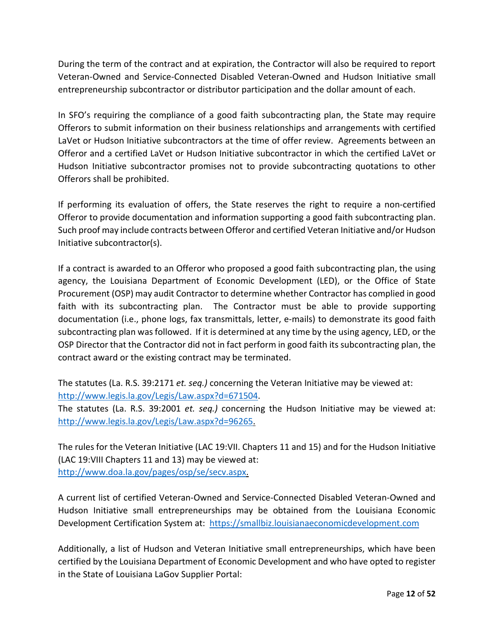During the term of the contract and at expiration, the Contractor will also be required to report Veteran-Owned and Service-Connected Disabled Veteran-Owned and Hudson Initiative small entrepreneurship subcontractor or distributor participation and the dollar amount of each.

In SFO's requiring the compliance of a good faith subcontracting plan, the State may require Offerors to submit information on their business relationships and arrangements with certified LaVet or Hudson Initiative subcontractors at the time of offer review. Agreements between an Offeror and a certified LaVet or Hudson Initiative subcontractor in which the certified LaVet or Hudson Initiative subcontractor promises not to provide subcontracting quotations to other Offerors shall be prohibited.

If performing its evaluation of offers, the State reserves the right to require a non-certified Offeror to provide documentation and information supporting a good faith subcontracting plan. Such proof may include contracts between Offeror and certified Veteran Initiative and/or Hudson Initiative subcontractor(s).

If a contract is awarded to an Offeror who proposed a good faith subcontracting plan, the using agency, the Louisiana Department of Economic Development (LED), or the Office of State Procurement (OSP) may audit Contractor to determine whether Contractor has complied in good faith with its subcontracting plan. The Contractor must be able to provide supporting documentation (i.e., phone logs, fax transmittals, letter, e-mails) to demonstrate its good faith subcontracting plan was followed. If it is determined at any time by the using agency, LED, or the OSP Director that the Contractor did not in fact perform in good faith its subcontracting plan, the contract award or the existing contract may be terminated.

The statutes (La. R.S. 39:2171 *et. seq.)* concerning the Veteran Initiative may be viewed at: [http://www.legis.la.gov/Legis/Law.aspx?d=671504.](http://www.legis.la.gov/Legis/Law.aspx?d=671504)

The statutes (La. R.S. 39:2001 *et. seq.)* concerning the Hudson Initiative may be viewed at: [http://www.legis.la.gov/Legis/Law.aspx?d=96265.](http://www.legis.la.gov/Legis/Law.aspx?d=96265)

The rules for the Veteran Initiative (LAC 19:VII. Chapters 11 and 15) and for the Hudson Initiative (LAC 19:VIII Chapters 11 and 13) may be viewed at: [http://www.doa.la.gov/pages/osp/se/secv.aspx.](http://www.doa.la.gov/pages/osp/se/secv.aspx)

A current list of certified Veteran-Owned and Service-Connected Disabled Veteran-Owned and Hudson Initiative small entrepreneurships may be obtained from the Louisiana Economic Development Certification System at: [https://smallbiz.louisianaeconomicdevelopment.com](https://smallbiz.louisianaeconomicdevelopment.com/)

Additionally, a list of Hudson and Veteran Initiative small entrepreneurships, which have been certified by the Louisiana Department of Economic Development and who have opted to register in the State of Louisiana LaGov Supplier Portal: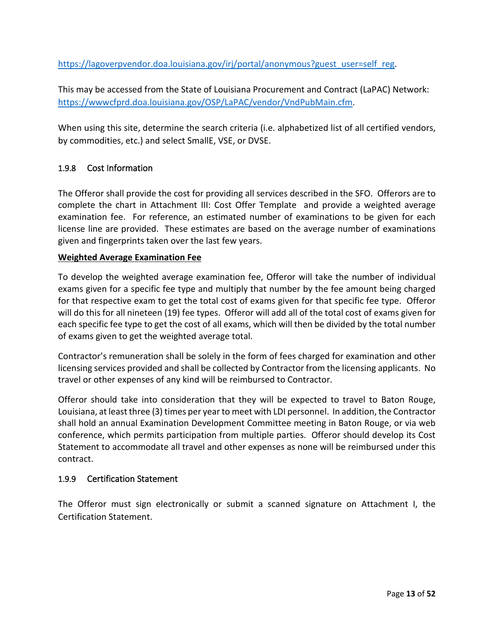[https://lagoverpvendor.doa.louisiana.gov/irj/portal/anonymous?guest\\_user=self\\_reg.](https://lagoverpvendor.doa.louisiana.gov/irj/portal/anonymous?guest_user=self_reg)

This may be accessed from the State of Louisiana Procurement and Contract (LaPAC) Network: [https://wwwcfprd.doa.louisiana.gov/OSP/LaPAC/vendor/VndPubMain.cfm.](https://wwwcfprd.doa.louisiana.gov/OSP/LaPAC/vendor/VndPubMain.cfm)

When using this site, determine the search criteria (i.e. alphabetized list of all certified vendors, by commodities, etc.) and select SmallE, VSE, or DVSE.

### <span id="page-12-0"></span>1.9.8 Cost Information

The Offeror shall provide the cost for providing all services described in the SFO. Offerors are to complete the chart in Attachment III: Cost Offer Template and provide a weighted average examination fee. For reference, an estimated number of examinations to be given for each license line are provided. These estimates are based on the average number of examinations given and fingerprints taken over the last few years.

#### **Weighted Average Examination Fee**

To develop the weighted average examination fee, Offeror will take the number of individual exams given for a specific fee type and multiply that number by the fee amount being charged for that respective exam to get the total cost of exams given for that specific fee type. Offeror will do this for all nineteen (19) fee types. Offeror will add all of the total cost of exams given for each specific fee type to get the cost of all exams, which will then be divided by the total number of exams given to get the weighted average total.

Contractor's remuneration shall be solely in the form of fees charged for examination and other licensing services provided and shall be collected by Contractor from the licensing applicants. No travel or other expenses of any kind will be reimbursed to Contractor.

Offeror should take into consideration that they will be expected to travel to Baton Rouge, Louisiana, at least three (3) times per year to meet with LDI personnel. In addition, the Contractor shall hold an annual Examination Development Committee meeting in Baton Rouge, or via web conference, which permits participation from multiple parties. Offeror should develop its Cost Statement to accommodate all travel and other expenses as none will be reimbursed under this contract.

#### <span id="page-12-1"></span>1.9.9 Certification Statement

The Offeror must sign electronically or submit a scanned signature on Attachment I, the Certification Statement.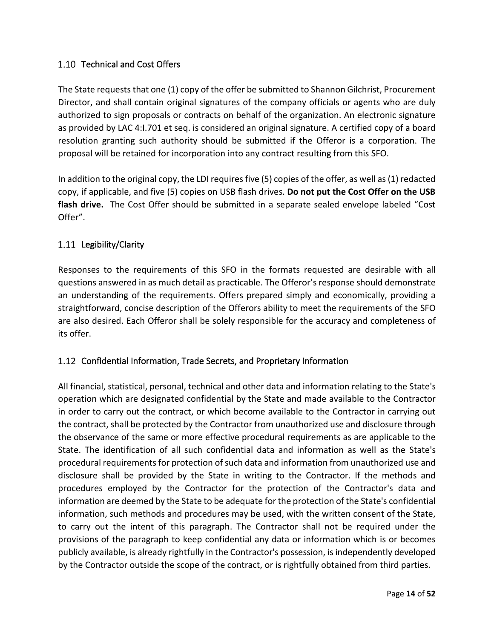### <span id="page-13-0"></span>1.10 Technical and Cost Offers

The State requests that one (1) copy of the offer be submitted to Shannon Gilchrist, Procurement Director, and shall contain original signatures of the company officials or agents who are duly authorized to sign proposals or contracts on behalf of the organization. An electronic signature as provided by LAC 4:I.701 et seq. is considered an original signature. A certified copy of a board resolution granting such authority should be submitted if the Offeror is a corporation. The proposal will be retained for incorporation into any contract resulting from this SFO.

In addition to the original copy, the LDI requires five (5) copies of the offer, as well as (1) redacted copy, if applicable, and five (5) copies on USB flash drives. **Do not put the Cost Offer on the USB flash drive.** The Cost Offer should be submitted in a separate sealed envelope labeled "Cost Offer".

### <span id="page-13-1"></span>1.11 Legibility/Clarity

Responses to the requirements of this SFO in the formats requested are desirable with all questions answered in as much detail as practicable. The Offeror's response should demonstrate an understanding of the requirements. Offers prepared simply and economically, providing a straightforward, concise description of the Offerors ability to meet the requirements of the SFO are also desired. Each Offeror shall be solely responsible for the accuracy and completeness of its offer.

### <span id="page-13-2"></span>1.12 Confidential Information, Trade Secrets, and Proprietary Information

All financial, statistical, personal, technical and other data and information relating to the State's operation which are designated confidential by the State and made available to the Contractor in order to carry out the contract, or which become available to the Contractor in carrying out the contract, shall be protected by the Contractor from unauthorized use and disclosure through the observance of the same or more effective procedural requirements as are applicable to the State. The identification of all such confidential data and information as well as the State's procedural requirements for protection of such data and information from unauthorized use and disclosure shall be provided by the State in writing to the Contractor. If the methods and procedures employed by the Contractor for the protection of the Contractor's data and information are deemed by the State to be adequate for the protection of the State's confidential information, such methods and procedures may be used, with the written consent of the State, to carry out the intent of this paragraph. The Contractor shall not be required under the provisions of the paragraph to keep confidential any data or information which is or becomes publicly available, is already rightfully in the Contractor's possession, is independently developed by the Contractor outside the scope of the contract, or is rightfully obtained from third parties.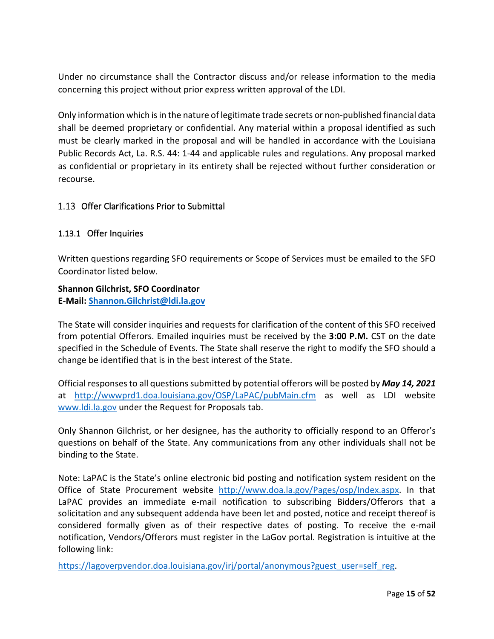Under no circumstance shall the Contractor discuss and/or release information to the media concerning this project without prior express written approval of the LDI.

Only information which is in the nature of legitimate trade secrets or non-published financial data shall be deemed proprietary or confidential. Any material within a proposal identified as such must be clearly marked in the proposal and will be handled in accordance with the Louisiana Public Records Act, La. R.S. 44: 1-44 and applicable rules and regulations. Any proposal marked as confidential or proprietary in its entirety shall be rejected without further consideration or recourse.

#### <span id="page-14-0"></span>1.13 Offer Clarifications Prior to Submittal

#### <span id="page-14-1"></span>1.13.1 Offer Inquiries

Written questions regarding SFO requirements or Scope of Services must be emailed to the SFO Coordinator listed below.

#### **Shannon Gilchrist, SFO Coordinator**

**E-Mail: [Shannon.Gilchrist@ldi.la.gov](mailto:sgilchrist@ldi.la.gov)**

The State will consider inquiries and requests for clarification of the content of this SFO received from potential Offerors. Emailed inquiries must be received by the **3:00 P.M.** CST on the date specified in the Schedule of Events. The State shall reserve the right to modify the SFO should a change be identified that is in the best interest of the State.

Official responses to all questions submitted by potential offerors will be posted by *May 14, 2021* at <http://wwwprd1.doa.louisiana.gov/OSP/LaPAC/pubMain.cfm> as well as LDI website [www.ldi.la.gov](http://www.ldi.la.gov/) under the Request for Proposals tab.

Only Shannon Gilchrist, or her designee, has the authority to officially respond to an Offeror's questions on behalf of the State. Any communications from any other individuals shall not be binding to the State.

Note: LaPAC is the State's online electronic bid posting and notification system resident on the Office of State Procurement website [http://www.doa.la.gov/Pages/osp/Index.aspx.](http://www.doa.la.gov/Pages/osp/Index.aspx) In that LaPAC provides an immediate e-mail notification to subscribing Bidders/Offerors that a solicitation and any subsequent addenda have been let and posted, notice and receipt thereof is considered formally given as of their respective dates of posting. To receive the e-mail notification, Vendors/Offerors must register in the LaGov portal. Registration is intuitive at the following link:

https://lagoverpvendor.doa.louisiana.gov/irj/portal/anonymous?guest\_user=self\_reg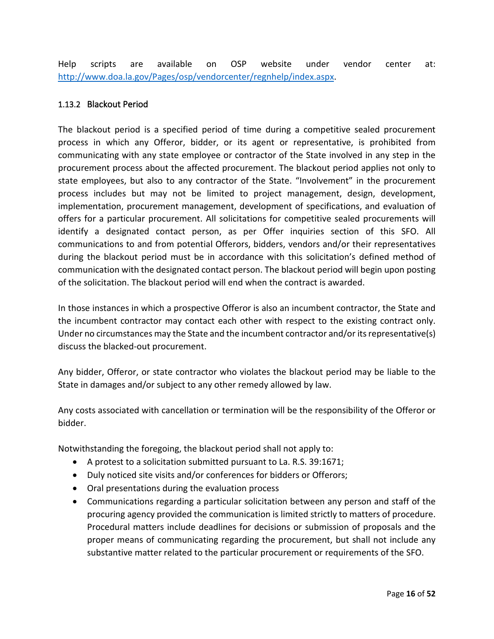Help scripts are available on OSP website under vendor center at: [http://www.doa.la.gov/Pages/osp/vendorcenter/regnhelp/index.aspx.](http://www.doa.la.gov/Pages/osp/vendorcenter/regnhelp/index.aspx)

#### <span id="page-15-0"></span>1.13.2 Blackout Period

The blackout period is a specified period of time during a competitive sealed procurement process in which any Offeror, bidder, or its agent or representative, is prohibited from communicating with any state employee or contractor of the State involved in any step in the procurement process about the affected procurement. The blackout period applies not only to state employees, but also to any contractor of the State. "Involvement" in the procurement process includes but may not be limited to project management, design, development, implementation, procurement management, development of specifications, and evaluation of offers for a particular procurement. All solicitations for competitive sealed procurements will identify a designated contact person, as per Offer inquiries section of this SFO. All communications to and from potential Offerors, bidders, vendors and/or their representatives during the blackout period must be in accordance with this solicitation's defined method of communication with the designated contact person. The blackout period will begin upon posting of the solicitation. The blackout period will end when the contract is awarded.

In those instances in which a prospective Offeror is also an incumbent contractor, the State and the incumbent contractor may contact each other with respect to the existing contract only. Under no circumstances may the State and the incumbent contractor and/or its representative(s) discuss the blacked-out procurement.

Any bidder, Offeror, or state contractor who violates the blackout period may be liable to the State in damages and/or subject to any other remedy allowed by law.

Any costs associated with cancellation or termination will be the responsibility of the Offeror or bidder.

Notwithstanding the foregoing, the blackout period shall not apply to:

- A protest to a solicitation submitted pursuant to La. R.S. 39:1671;
- Duly noticed site visits and/or conferences for bidders or Offerors;
- Oral presentations during the evaluation process
- Communications regarding a particular solicitation between any person and staff of the procuring agency provided the communication is limited strictly to matters of procedure. Procedural matters include deadlines for decisions or submission of proposals and the proper means of communicating regarding the procurement, but shall not include any substantive matter related to the particular procurement or requirements of the SFO.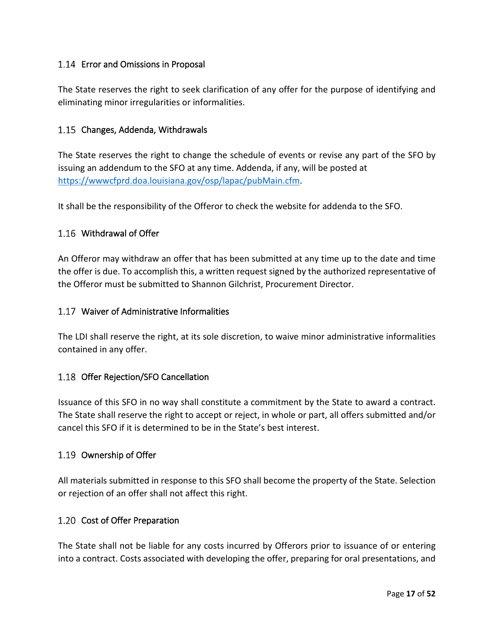### <span id="page-16-0"></span>1.14 Error and Omissions in Proposal

The State reserves the right to seek clarification of any offer for the purpose of identifying and eliminating minor irregularities or informalities.

### <span id="page-16-1"></span>1.15 Changes, Addenda, Withdrawals

The State reserves the right to change the schedule of events or revise any part of the SFO by issuing an addendum to the SFO at any time. Addenda, if any, will be posted at [https://wwwcfprd.doa.louisiana.gov/osp/lapac/pubMain.cfm.](https://wwwcfprd.doa.louisiana.gov/osp/lapac/pubMain.cfm)

It shall be the responsibility of the Offeror to check the website for addenda to the SFO.

### <span id="page-16-2"></span>1.16 Withdrawal of Offer

An Offeror may withdraw an offer that has been submitted at any time up to the date and time the offer is due. To accomplish this, a written request signed by the authorized representative of the Offeror must be submitted to Shannon Gilchrist, Procurement Director.

#### <span id="page-16-3"></span>Waiver of Administrative Informalities

The LDI shall reserve the right, at its sole discretion, to waive minor administrative informalities contained in any offer.

### <span id="page-16-4"></span>1.18 Offer Rejection/SFO Cancellation

Issuance of this SFO in no way shall constitute a commitment by the State to award a contract. The State shall reserve the right to accept or reject, in whole or part, all offers submitted and/or cancel this SFO if it is determined to be in the State's best interest.

#### <span id="page-16-5"></span>1.19 Ownership of Offer

All materials submitted in response to this SFO shall become the property of the State. Selection or rejection of an offer shall not affect this right.

#### <span id="page-16-6"></span>1.20 Cost of Offer Preparation

The State shall not be liable for any costs incurred by Offerors prior to issuance of or entering into a contract. Costs associated with developing the offer, preparing for oral presentations, and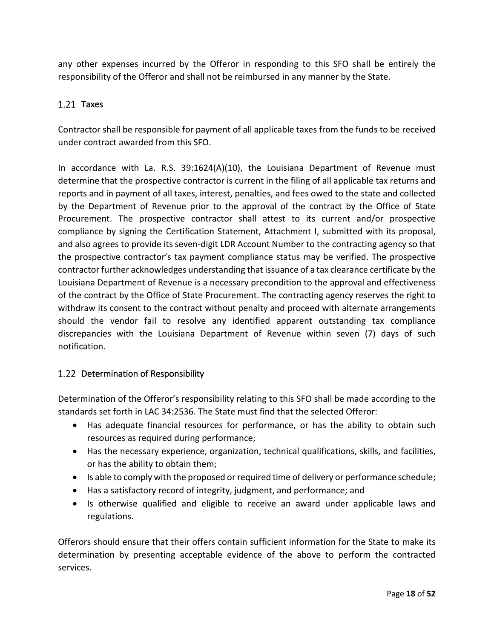any other expenses incurred by the Offeror in responding to this SFO shall be entirely the responsibility of the Offeror and shall not be reimbursed in any manner by the State.

### <span id="page-17-0"></span>1.21 Taxes

Contractor shall be responsible for payment of all applicable taxes from the funds to be received under contract awarded from this SFO.

In accordance with La. R.S. 39:1624(A)(10), the Louisiana Department of Revenue must determine that the prospective contractor is current in the filing of all applicable tax returns and reports and in payment of all taxes, interest, penalties, and fees owed to the state and collected by the Department of Revenue prior to the approval of the contract by the Office of State Procurement. The prospective contractor shall attest to its current and/or prospective compliance by signing the Certification Statement, Attachment I, submitted with its proposal, and also agrees to provide its seven-digit LDR Account Number to the contracting agency so that the prospective contractor's tax payment compliance status may be verified. The prospective contractor further acknowledges understanding that issuance of a tax clearance certificate by the Louisiana Department of Revenue is a necessary precondition to the approval and effectiveness of the contract by the Office of State Procurement. The contracting agency reserves the right to withdraw its consent to the contract without penalty and proceed with alternate arrangements should the vendor fail to resolve any identified apparent outstanding tax compliance discrepancies with the Louisiana Department of Revenue within seven (7) days of such notification.

### <span id="page-17-1"></span>1.22 Determination of Responsibility

Determination of the Offeror's responsibility relating to this SFO shall be made according to the standards set forth in LAC 34:2536. The State must find that the selected Offeror:

- Has adequate financial resources for performance, or has the ability to obtain such resources as required during performance;
- Has the necessary experience, organization, technical qualifications, skills, and facilities, or has the ability to obtain them;
- Is able to comply with the proposed or required time of delivery or performance schedule;
- Has a satisfactory record of integrity, judgment, and performance; and
- Is otherwise qualified and eligible to receive an award under applicable laws and regulations.

Offerors should ensure that their offers contain sufficient information for the State to make its determination by presenting acceptable evidence of the above to perform the contracted services.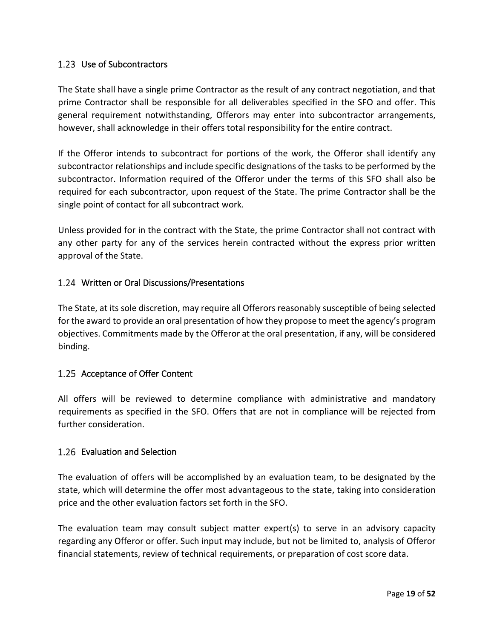### <span id="page-18-0"></span>1.23 Use of Subcontractors

The State shall have a single prime Contractor as the result of any contract negotiation, and that prime Contractor shall be responsible for all deliverables specified in the SFO and offer. This general requirement notwithstanding, Offerors may enter into subcontractor arrangements, however, shall acknowledge in their offers total responsibility for the entire contract.

If the Offeror intends to subcontract for portions of the work, the Offeror shall identify any subcontractor relationships and include specific designations of the tasks to be performed by the subcontractor. Information required of the Offeror under the terms of this SFO shall also be required for each subcontractor, upon request of the State. The prime Contractor shall be the single point of contact for all subcontract work.

Unless provided for in the contract with the State, the prime Contractor shall not contract with any other party for any of the services herein contracted without the express prior written approval of the State.

### <span id="page-18-1"></span>Written or Oral Discussions/Presentations

The State, at its sole discretion, may require all Offerors reasonably susceptible of being selected for the award to provide an oral presentation of how they propose to meet the agency's program objectives. Commitments made by the Offeror at the oral presentation, if any, will be considered binding.

#### <span id="page-18-2"></span>1.25 Acceptance of Offer Content

All offers will be reviewed to determine compliance with administrative and mandatory requirements as specified in the SFO. Offers that are not in compliance will be rejected from further consideration.

#### <span id="page-18-3"></span>1.26 Evaluation and Selection

The evaluation of offers will be accomplished by an evaluation team, to be designated by the state, which will determine the offer most advantageous to the state, taking into consideration price and the other evaluation factors set forth in the SFO.

The evaluation team may consult subject matter expert(s) to serve in an advisory capacity regarding any Offeror or offer. Such input may include, but not be limited to, analysis of Offeror financial statements, review of technical requirements, or preparation of cost score data.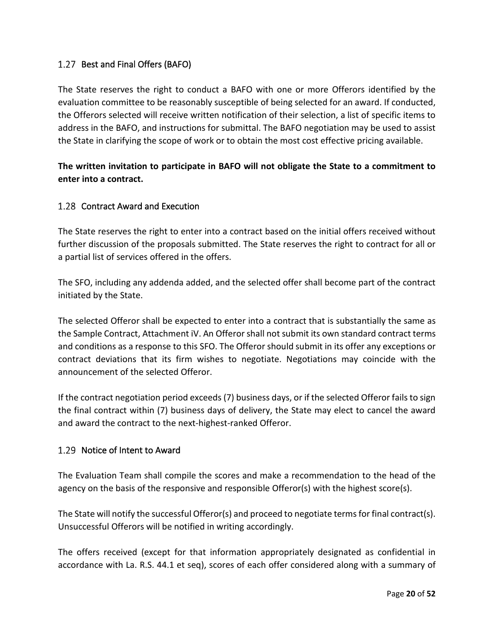### <span id="page-19-0"></span>1.27 Best and Final Offers (BAFO)

The State reserves the right to conduct a BAFO with one or more Offerors identified by the evaluation committee to be reasonably susceptible of being selected for an award. If conducted, the Offerors selected will receive written notification of their selection, a list of specific items to address in the BAFO, and instructions for submittal. The BAFO negotiation may be used to assist the State in clarifying the scope of work or to obtain the most cost effective pricing available.

### **The written invitation to participate in BAFO will not obligate the State to a commitment to enter into a contract.**

### <span id="page-19-1"></span>1.28 Contract Award and Execution

The State reserves the right to enter into a contract based on the initial offers received without further discussion of the proposals submitted. The State reserves the right to contract for all or a partial list of services offered in the offers.

The SFO, including any addenda added, and the selected offer shall become part of the contract initiated by the State.

The selected Offeror shall be expected to enter into a contract that is substantially the same as the Sample Contract, Attachment iV. An Offerorshall not submit its own standard contract terms and conditions as a response to this SFO. The Offeror should submit in its offer any exceptions or contract deviations that its firm wishes to negotiate. Negotiations may coincide with the announcement of the selected Offeror.

If the contract negotiation period exceeds (7) business days, or if the selected Offeror fails to sign the final contract within (7) business days of delivery, the State may elect to cancel the award and award the contract to the next-highest-ranked Offeror.

### <span id="page-19-2"></span>1.29 Notice of Intent to Award

The Evaluation Team shall compile the scores and make a recommendation to the head of the agency on the basis of the responsive and responsible Offeror(s) with the highest score(s).

The State will notify the successful Offeror(s) and proceed to negotiate terms for final contract(s). Unsuccessful Offerors will be notified in writing accordingly.

The offers received (except for that information appropriately designated as confidential in accordance with La. R.S. 44.1 et seq), scores of each offer considered along with a summary of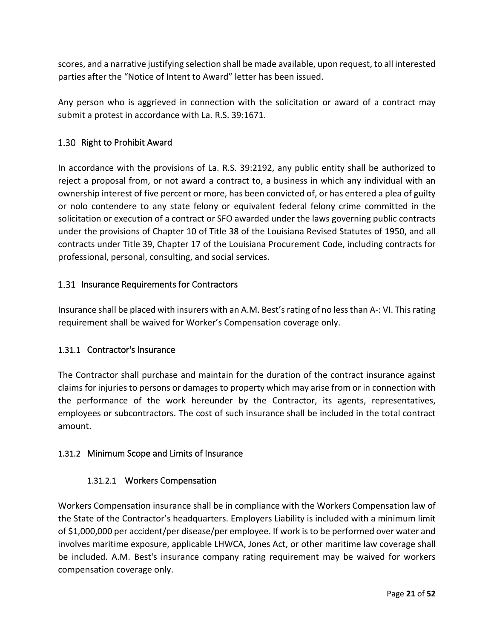scores, and a narrative justifying selection shall be made available, upon request, to all interested parties after the "Notice of Intent to Award" letter has been issued.

Any person who is aggrieved in connection with the solicitation or award of a contract may submit a protest in accordance with La. R.S. 39:1671.

### <span id="page-20-0"></span>1.30 Right to Prohibit Award

In accordance with the provisions of La. R.S. 39:2192, any public entity shall be authorized to reject a proposal from, or not award a contract to, a business in which any individual with an ownership interest of five percent or more, has been convicted of, or has entered a plea of guilty or nolo contendere to any state felony or equivalent federal felony crime committed in the solicitation or execution of a contract or SFO awarded under the laws governing public contracts under the provisions of Chapter 10 of Title 38 of the Louisiana Revised Statutes of 1950, and all contracts under Title 39, Chapter 17 of the Louisiana Procurement Code, including contracts for professional, personal, consulting, and social services.

### <span id="page-20-1"></span>1.31 Insurance Requirements for Contractors

Insurance shall be placed with insurers with an A.M. Best's rating of no less than A-: VI. This rating requirement shall be waived for Worker's Compensation coverage only.

### <span id="page-20-2"></span>1.31.1 Contractor's Insurance

The Contractor shall purchase and maintain for the duration of the contract insurance against claims for injuries to persons or damages to property which may arise from or in connection with the performance of the work hereunder by the Contractor, its agents, representatives, employees or subcontractors. The cost of such insurance shall be included in the total contract amount.

### <span id="page-20-3"></span>1.31.2 Minimum Scope and Limits of Insurance

### 1.31.2.1 Workers Compensation

Workers Compensation insurance shall be in compliance with the Workers Compensation law of the State of the Contractor's headquarters. Employers Liability is included with a minimum limit of \$1,000,000 per accident/per disease/per employee. If work is to be performed over water and involves maritime exposure, applicable LHWCA, Jones Act, or other maritime law coverage shall be included. A.M. Best's insurance company rating requirement may be waived for workers compensation coverage only.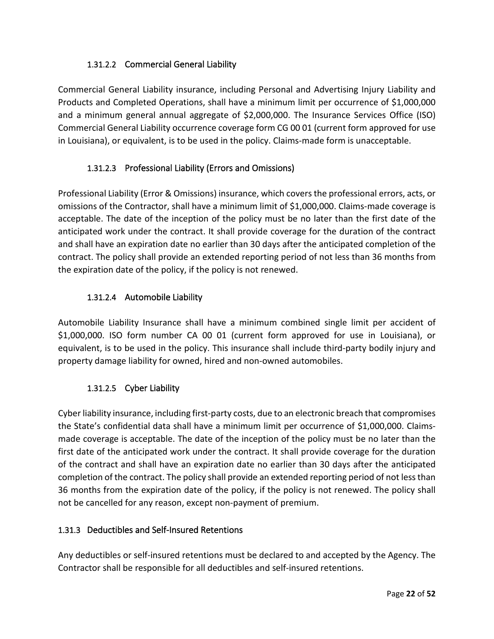### 1.31.2.2 Commercial General Liability

Commercial General Liability insurance, including Personal and Advertising Injury Liability and Products and Completed Operations, shall have a minimum limit per occurrence of \$1,000,000 and a minimum general annual aggregate of \$2,000,000. The Insurance Services Office (ISO) Commercial General Liability occurrence coverage form CG 00 01 (current form approved for use in Louisiana), or equivalent, is to be used in the policy. Claims-made form is unacceptable.

### 1.31.2.3 Professional Liability (Errors and Omissions)

Professional Liability (Error & Omissions) insurance, which covers the professional errors, acts, or omissions of the Contractor, shall have a minimum limit of \$1,000,000. Claims-made coverage is acceptable. The date of the inception of the policy must be no later than the first date of the anticipated work under the contract. It shall provide coverage for the duration of the contract and shall have an expiration date no earlier than 30 days after the anticipated completion of the contract. The policy shall provide an extended reporting period of not less than 36 months from the expiration date of the policy, if the policy is not renewed.

### 1.31.2.4 Automobile Liability

Automobile Liability Insurance shall have a minimum combined single limit per accident of \$1,000,000. ISO form number CA 00 01 (current form approved for use in Louisiana), or equivalent, is to be used in the policy. This insurance shall include third-party bodily injury and property damage liability for owned, hired and non-owned automobiles.

### 1.31.2.5 Cyber Liability

Cyber liability insurance, including first-party costs, due to an electronic breach that compromises the State's confidential data shall have a minimum limit per occurrence of \$1,000,000. Claimsmade coverage is acceptable. The date of the inception of the policy must be no later than the first date of the anticipated work under the contract. It shall provide coverage for the duration of the contract and shall have an expiration date no earlier than 30 days after the anticipated completion of the contract. The policy shall provide an extended reporting period of not less than 36 months from the expiration date of the policy, if the policy is not renewed. The policy shall not be cancelled for any reason, except non-payment of premium.

### <span id="page-21-0"></span>1.31.3 Deductibles and Self-Insured Retentions

Any deductibles or self-insured retentions must be declared to and accepted by the Agency. The Contractor shall be responsible for all deductibles and self-insured retentions.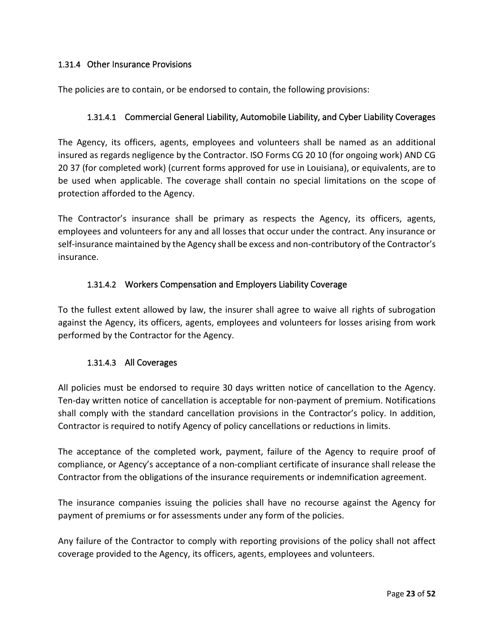### <span id="page-22-0"></span>1.31.4 Other Insurance Provisions

The policies are to contain, or be endorsed to contain, the following provisions:

#### 1.31.4.1 Commercial General Liability, Automobile Liability, and Cyber Liability Coverages

The Agency, its officers, agents, employees and volunteers shall be named as an additional insured as regards negligence by the Contractor. ISO Forms CG 20 10 (for ongoing work) AND CG 20 37 (for completed work) (current forms approved for use in Louisiana), or equivalents, are to be used when applicable. The coverage shall contain no special limitations on the scope of protection afforded to the Agency.

The Contractor's insurance shall be primary as respects the Agency, its officers, agents, employees and volunteers for any and all losses that occur under the contract. Any insurance or self-insurance maintained by the Agency shall be excess and non-contributory of the Contractor's insurance.

#### 1.31.4.2 Workers Compensation and Employers Liability Coverage

To the fullest extent allowed by law, the insurer shall agree to waive all rights of subrogation against the Agency, its officers, agents, employees and volunteers for losses arising from work performed by the Contractor for the Agency.

#### 1.31.4.3 All Coverages

All policies must be endorsed to require 30 days written notice of cancellation to the Agency. Ten-day written notice of cancellation is acceptable for non-payment of premium. Notifications shall comply with the standard cancellation provisions in the Contractor's policy. In addition, Contractor is required to notify Agency of policy cancellations or reductions in limits.

The acceptance of the completed work, payment, failure of the Agency to require proof of compliance, or Agency's acceptance of a non-compliant certificate of insurance shall release the Contractor from the obligations of the insurance requirements or indemnification agreement.

The insurance companies issuing the policies shall have no recourse against the Agency for payment of premiums or for assessments under any form of the policies.

Any failure of the Contractor to comply with reporting provisions of the policy shall not affect coverage provided to the Agency, its officers, agents, employees and volunteers.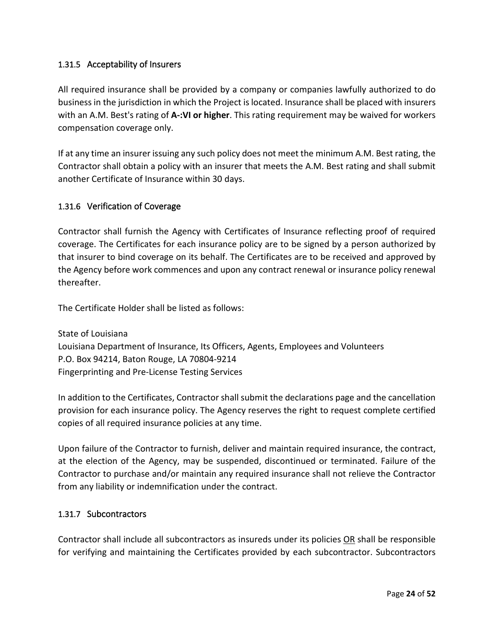### <span id="page-23-0"></span>1.31.5 Acceptability of Insurers

All required insurance shall be provided by a company or companies lawfully authorized to do business in the jurisdiction in which the Project is located. Insurance shall be placed with insurers with an A.M. Best's rating of **A-:VI or higher**. This rating requirement may be waived for workers compensation coverage only.

If at any time an insurer issuing any such policy does not meet the minimum A.M. Best rating, the Contractor shall obtain a policy with an insurer that meets the A.M. Best rating and shall submit another Certificate of Insurance within 30 days.

### <span id="page-23-1"></span>1.31.6 Verification of Coverage

Contractor shall furnish the Agency with Certificates of Insurance reflecting proof of required coverage. The Certificates for each insurance policy are to be signed by a person authorized by that insurer to bind coverage on its behalf. The Certificates are to be received and approved by the Agency before work commences and upon any contract renewal or insurance policy renewal thereafter.

The Certificate Holder shall be listed as follows:

State of Louisiana Louisiana Department of Insurance, Its Officers, Agents, Employees and Volunteers P.O. Box 94214, Baton Rouge, LA 70804-9214 Fingerprinting and Pre-License Testing Services

In addition to the Certificates, Contractor shall submit the declarations page and the cancellation provision for each insurance policy. The Agency reserves the right to request complete certified copies of all required insurance policies at any time.

Upon failure of the Contractor to furnish, deliver and maintain required insurance, the contract, at the election of the Agency, may be suspended, discontinued or terminated. Failure of the Contractor to purchase and/or maintain any required insurance shall not relieve the Contractor from any liability or indemnification under the contract.

#### <span id="page-23-2"></span>1.31.7 Subcontractors

Contractor shall include all subcontractors as insureds under its policies OR shall be responsible for verifying and maintaining the Certificates provided by each subcontractor. Subcontractors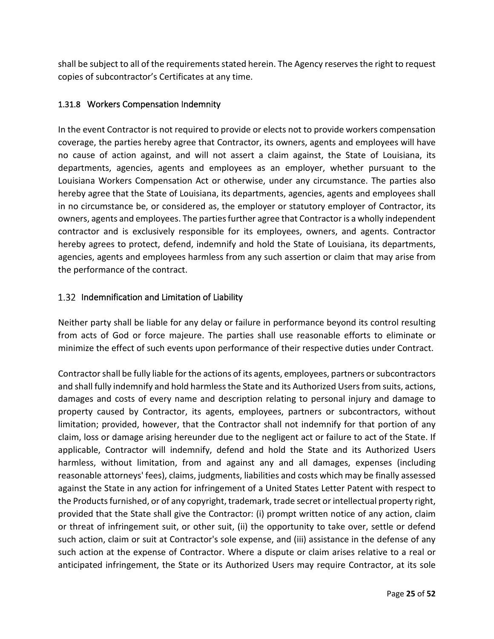shall be subject to all of the requirements stated herein. The Agency reserves the right to request copies of subcontractor's Certificates at any time.

### <span id="page-24-0"></span>1.31.8 Workers Compensation Indemnity

In the event Contractor is not required to provide or elects not to provide workers compensation coverage, the parties hereby agree that Contractor, its owners, agents and employees will have no cause of action against, and will not assert a claim against, the State of Louisiana, its departments, agencies, agents and employees as an employer, whether pursuant to the Louisiana Workers Compensation Act or otherwise, under any circumstance. The parties also hereby agree that the State of Louisiana, its departments, agencies, agents and employees shall in no circumstance be, or considered as, the employer or statutory employer of Contractor, its owners, agents and employees. The parties further agree that Contractor is a wholly independent contractor and is exclusively responsible for its employees, owners, and agents. Contractor hereby agrees to protect, defend, indemnify and hold the State of Louisiana, its departments, agencies, agents and employees harmless from any such assertion or claim that may arise from the performance of the contract.

### <span id="page-24-1"></span>1.32 Indemnification and Limitation of Liability

Neither party shall be liable for any delay or failure in performance beyond its control resulting from acts of God or force majeure. The parties shall use reasonable efforts to eliminate or minimize the effect of such events upon performance of their respective duties under Contract.

Contractor shall be fully liable for the actions of its agents, employees, partners or subcontractors and shall fully indemnify and hold harmless the State and its Authorized Users from suits, actions, damages and costs of every name and description relating to personal injury and damage to property caused by Contractor, its agents, employees, partners or subcontractors, without limitation; provided, however, that the Contractor shall not indemnify for that portion of any claim, loss or damage arising hereunder due to the negligent act or failure to act of the State. If applicable, Contractor will indemnify, defend and hold the State and its Authorized Users harmless, without limitation, from and against any and all damages, expenses (including reasonable attorneys' fees), claims, judgments, liabilities and costs which may be finally assessed against the State in any action for infringement of a United States Letter Patent with respect to the Products furnished, or of any copyright, trademark, trade secret or intellectual property right, provided that the State shall give the Contractor: (i) prompt written notice of any action, claim or threat of infringement suit, or other suit, (ii) the opportunity to take over, settle or defend such action, claim or suit at Contractor's sole expense, and (iii) assistance in the defense of any such action at the expense of Contractor. Where a dispute or claim arises relative to a real or anticipated infringement, the State or its Authorized Users may require Contractor, at its sole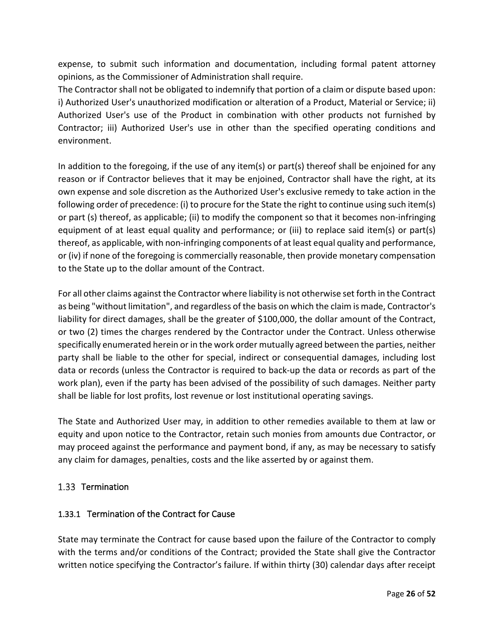expense, to submit such information and documentation, including formal patent attorney opinions, as the Commissioner of Administration shall require.

The Contractor shall not be obligated to indemnify that portion of a claim or dispute based upon: i) Authorized User's unauthorized modification or alteration of a Product, Material or Service; ii) Authorized User's use of the Product in combination with other products not furnished by Contractor; iii) Authorized User's use in other than the specified operating conditions and environment.

In addition to the foregoing, if the use of any item(s) or part(s) thereof shall be enjoined for any reason or if Contractor believes that it may be enjoined, Contractor shall have the right, at its own expense and sole discretion as the Authorized User's exclusive remedy to take action in the following order of precedence: (i) to procure for the State the right to continue using such item(s) or part (s) thereof, as applicable; (ii) to modify the component so that it becomes non-infringing equipment of at least equal quality and performance; or (iii) to replace said item(s) or part(s) thereof, as applicable, with non-infringing components of at least equal quality and performance, or (iv) if none of the foregoing is commercially reasonable, then provide monetary compensation to the State up to the dollar amount of the Contract.

For all other claims against the Contractor where liability is not otherwise set forth in the Contract as being "without limitation", and regardless of the basis on which the claim is made, Contractor's liability for direct damages, shall be the greater of \$100,000, the dollar amount of the Contract, or two (2) times the charges rendered by the Contractor under the Contract. Unless otherwise specifically enumerated herein or in the work order mutually agreed between the parties, neither party shall be liable to the other for special, indirect or consequential damages, including lost data or records (unless the Contractor is required to back-up the data or records as part of the work plan), even if the party has been advised of the possibility of such damages. Neither party shall be liable for lost profits, lost revenue or lost institutional operating savings.

The State and Authorized User may, in addition to other remedies available to them at law or equity and upon notice to the Contractor, retain such monies from amounts due Contractor, or may proceed against the performance and payment bond, if any, as may be necessary to satisfy any claim for damages, penalties, costs and the like asserted by or against them.

### <span id="page-25-0"></span>1.33 Termination

### <span id="page-25-1"></span>1.33.1 Termination of the Contract for Cause

State may terminate the Contract for cause based upon the failure of the Contractor to comply with the terms and/or conditions of the Contract; provided the State shall give the Contractor written notice specifying the Contractor's failure. If within thirty (30) calendar days after receipt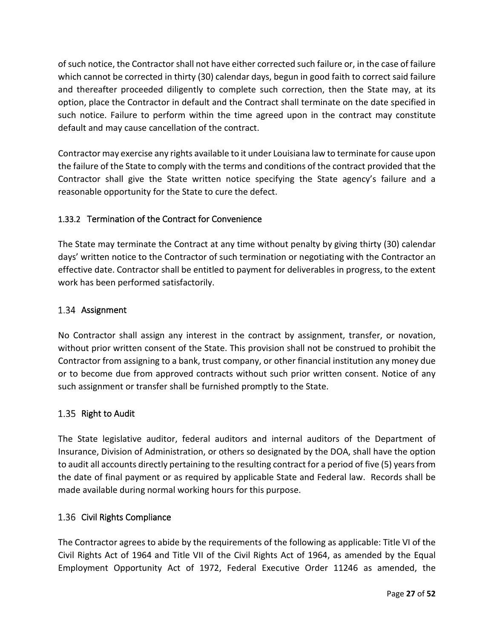of such notice, the Contractor shall not have either corrected such failure or, in the case of failure which cannot be corrected in thirty (30) calendar days, begun in good faith to correct said failure and thereafter proceeded diligently to complete such correction, then the State may, at its option, place the Contractor in default and the Contract shall terminate on the date specified in such notice. Failure to perform within the time agreed upon in the contract may constitute default and may cause cancellation of the contract.

Contractor may exercise any rights available to it under Louisiana law to terminate for cause upon the failure of the State to comply with the terms and conditions of the contract provided that the Contractor shall give the State written notice specifying the State agency's failure and a reasonable opportunity for the State to cure the defect.

### <span id="page-26-0"></span>1.33.2 Termination of the Contract for Convenience

The State may terminate the Contract at any time without penalty by giving thirty (30) calendar days' written notice to the Contractor of such termination or negotiating with the Contractor an effective date. Contractor shall be entitled to payment for deliverables in progress, to the extent work has been performed satisfactorily.

#### <span id="page-26-1"></span>1.34 Assignment

No Contractor shall assign any interest in the contract by assignment, transfer, or novation, without prior written consent of the State. This provision shall not be construed to prohibit the Contractor from assigning to a bank, trust company, or other financial institution any money due or to become due from approved contracts without such prior written consent. Notice of any such assignment or transfer shall be furnished promptly to the State.

### <span id="page-26-2"></span>1.35 Right to Audit

The State legislative auditor, federal auditors and internal auditors of the Department of Insurance, Division of Administration, or others so designated by the DOA, shall have the option to audit all accounts directly pertaining to the resulting contract for a period of five (5) years from the date of final payment or as required by applicable State and Federal law. Records shall be made available during normal working hours for this purpose.

### <span id="page-26-3"></span>1.36 Civil Rights Compliance

The Contractor agrees to abide by the requirements of the following as applicable: Title VI of the Civil Rights Act of 1964 and Title VII of the Civil Rights Act of 1964, as amended by the Equal Employment Opportunity Act of 1972, Federal Executive Order 11246 as amended, the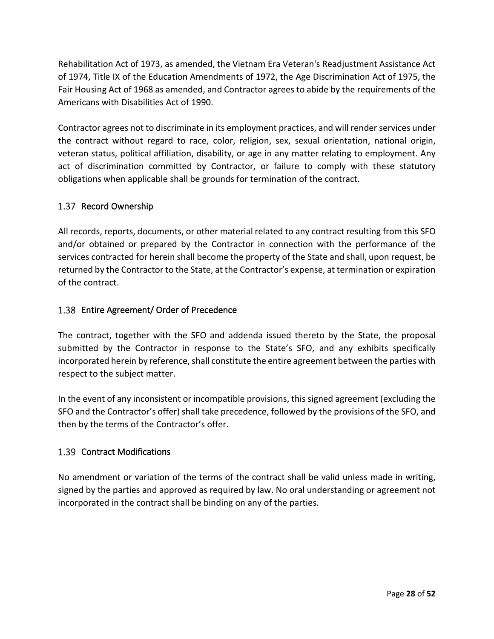Rehabilitation Act of 1973, as amended, the Vietnam Era Veteran's Readjustment Assistance Act of 1974, Title IX of the Education Amendments of 1972, the Age Discrimination Act of 1975, the Fair Housing Act of 1968 as amended, and Contractor agrees to abide by the requirements of the Americans with Disabilities Act of 1990.

Contractor agrees not to discriminate in its employment practices, and will render services under the contract without regard to race, color, religion, sex, sexual orientation, national origin, veteran status, political affiliation, disability, or age in any matter relating to employment. Any act of discrimination committed by Contractor, or failure to comply with these statutory obligations when applicable shall be grounds for termination of the contract.

### <span id="page-27-0"></span>1.37 Record Ownership

All records, reports, documents, or other material related to any contract resulting from this SFO and/or obtained or prepared by the Contractor in connection with the performance of the services contracted for herein shall become the property of the State and shall, upon request, be returned by the Contractor to the State, at the Contractor's expense, at termination or expiration of the contract.

### <span id="page-27-1"></span>1.38 Entire Agreement/ Order of Precedence

The contract, together with the SFO and addenda issued thereto by the State, the proposal submitted by the Contractor in response to the State's SFO, and any exhibits specifically incorporated herein by reference, shall constitute the entire agreement between the parties with respect to the subject matter.

In the event of any inconsistent or incompatible provisions, this signed agreement (excluding the SFO and the Contractor's offer) shall take precedence, followed by the provisions of the SFO, and then by the terms of the Contractor's offer.

### <span id="page-27-2"></span>1.39 Contract Modifications

No amendment or variation of the terms of the contract shall be valid unless made in writing, signed by the parties and approved as required by law. No oral understanding or agreement not incorporated in the contract shall be binding on any of the parties.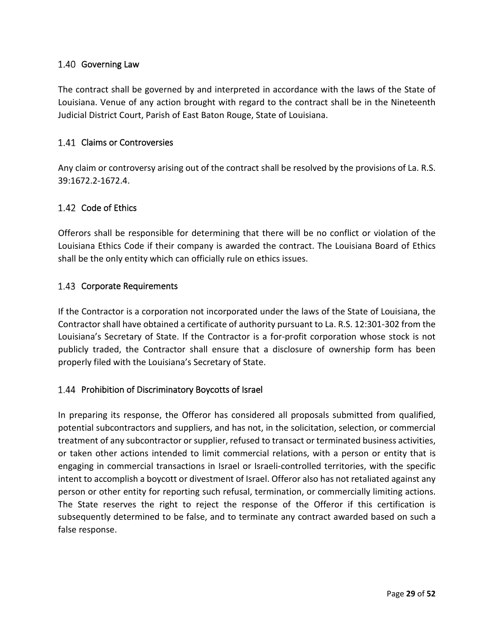#### <span id="page-28-0"></span>1.40 Governing Law

The contract shall be governed by and interpreted in accordance with the laws of the State of Louisiana. Venue of any action brought with regard to the contract shall be in the Nineteenth Judicial District Court, Parish of East Baton Rouge, State of Louisiana.

#### <span id="page-28-1"></span>1.41 Claims or Controversies

Any claim or controversy arising out of the contract shall be resolved by the provisions of La. R.S. 39:1672.2-1672.4.

#### <span id="page-28-2"></span>1.42 Code of Ethics

Offerors shall be responsible for determining that there will be no conflict or violation of the Louisiana Ethics Code if their company is awarded the contract. The Louisiana Board of Ethics shall be the only entity which can officially rule on ethics issues.

#### <span id="page-28-3"></span>1.43 Corporate Requirements

If the Contractor is a corporation not incorporated under the laws of the State of Louisiana, the Contractor shall have obtained a certificate of authority pursuant to La. R.S. 12:301-302 from the Louisiana's Secretary of State. If the Contractor is a for-profit corporation whose stock is not publicly traded, the Contractor shall ensure that a disclosure of ownership form has been properly filed with the Louisiana's Secretary of State.

#### <span id="page-28-4"></span>1.44 Prohibition of Discriminatory Boycotts of Israel

In preparing its response, the Offeror has considered all proposals submitted from qualified, potential subcontractors and suppliers, and has not, in the solicitation, selection, or commercial treatment of any subcontractor or supplier, refused to transact or terminated business activities, or taken other actions intended to limit commercial relations, with a person or entity that is engaging in commercial transactions in Israel or Israeli-controlled territories, with the specific intent to accomplish a boycott or divestment of Israel. Offeror also has not retaliated against any person or other entity for reporting such refusal, termination, or commercially limiting actions. The State reserves the right to reject the response of the Offeror if this certification is subsequently determined to be false, and to terminate any contract awarded based on such a false response.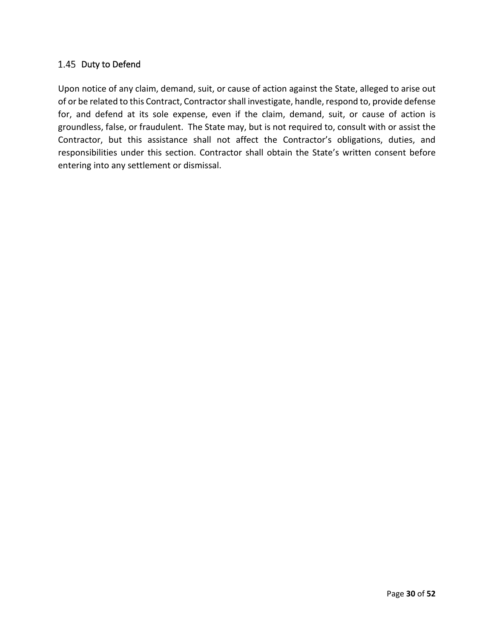#### 1.45 Duty to Defend

Upon notice of any claim, demand, suit, or cause of action against the State, alleged to arise out of or be related to this Contract, Contractor shall investigate, handle, respond to, provide defense for, and defend at its sole expense, even if the claim, demand, suit, or cause of action is groundless, false, or fraudulent. The State may, but is not required to, consult with or assist the Contractor, but this assistance shall not affect the Contractor's obligations, duties, and responsibilities under this section. Contractor shall obtain the State's written consent before entering into any settlement or dismissal.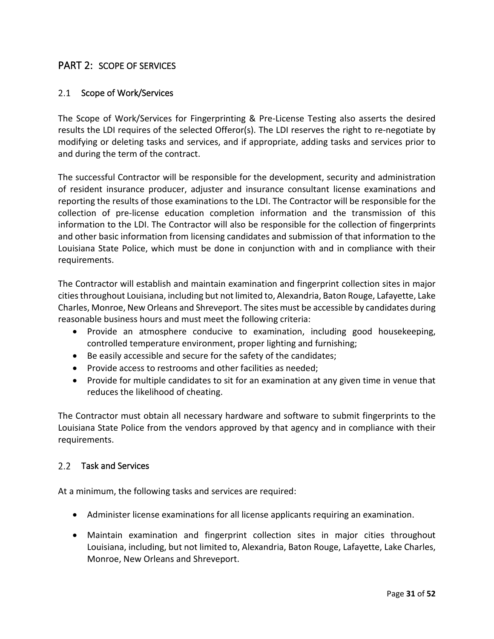### <span id="page-30-0"></span>PART 2: SCOPE OF SERVICES

#### <span id="page-30-1"></span>2.1 Scope of Work/Services

The Scope of Work/Services for Fingerprinting & Pre-License Testing also asserts the desired results the LDI requires of the selected Offeror(s). The LDI reserves the right to re-negotiate by modifying or deleting tasks and services, and if appropriate, adding tasks and services prior to and during the term of the contract.

The successful Contractor will be responsible for the development, security and administration of resident insurance producer, adjuster and insurance consultant license examinations and reporting the results of those examinations to the LDI. The Contractor will be responsible for the collection of pre-license education completion information and the transmission of this information to the LDI. The Contractor will also be responsible for the collection of fingerprints and other basic information from licensing candidates and submission of that information to the Louisiana State Police, which must be done in conjunction with and in compliance with their requirements.

The Contractor will establish and maintain examination and fingerprint collection sites in major cities throughout Louisiana, including but not limited to, Alexandria, Baton Rouge, Lafayette, Lake Charles, Monroe, New Orleans and Shreveport. The sites must be accessible by candidates during reasonable business hours and must meet the following criteria:

- Provide an atmosphere conducive to examination, including good housekeeping, controlled temperature environment, proper lighting and furnishing;
- Be easily accessible and secure for the safety of the candidates;
- Provide access to restrooms and other facilities as needed;
- Provide for multiple candidates to sit for an examination at any given time in venue that reduces the likelihood of cheating.

The Contractor must obtain all necessary hardware and software to submit fingerprints to the Louisiana State Police from the vendors approved by that agency and in compliance with their requirements.

#### <span id="page-30-2"></span>2.2 Task and Services

At a minimum, the following tasks and services are required:

- Administer license examinations for all license applicants requiring an examination.
- Maintain examination and fingerprint collection sites in major cities throughout Louisiana, including, but not limited to, Alexandria, Baton Rouge, Lafayette, Lake Charles, Monroe, New Orleans and Shreveport.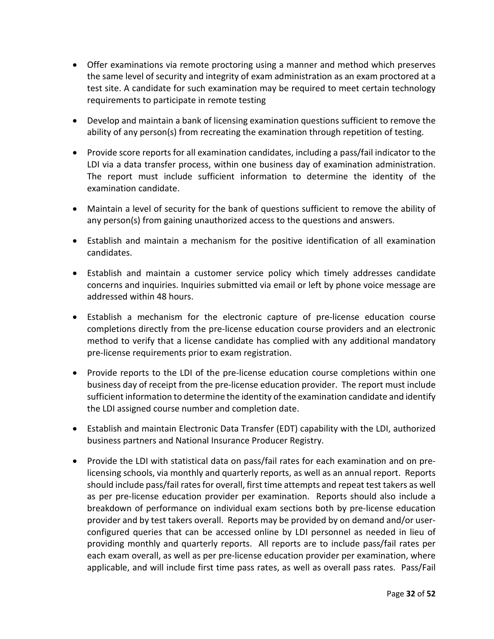- Offer examinations via remote proctoring using a manner and method which preserves the same level of security and integrity of exam administration as an exam proctored at a test site. A candidate for such examination may be required to meet certain technology requirements to participate in remote testing
- Develop and maintain a bank of licensing examination questions sufficient to remove the ability of any person(s) from recreating the examination through repetition of testing.
- Provide score reports for all examination candidates, including a pass/fail indicator to the LDI via a data transfer process, within one business day of examination administration. The report must include sufficient information to determine the identity of the examination candidate.
- Maintain a level of security for the bank of questions sufficient to remove the ability of any person(s) from gaining unauthorized access to the questions and answers.
- Establish and maintain a mechanism for the positive identification of all examination candidates.
- Establish and maintain a customer service policy which timely addresses candidate concerns and inquiries. Inquiries submitted via email or left by phone voice message are addressed within 48 hours.
- Establish a mechanism for the electronic capture of pre-license education course completions directly from the pre-license education course providers and an electronic method to verify that a license candidate has complied with any additional mandatory pre-license requirements prior to exam registration.
- Provide reports to the LDI of the pre-license education course completions within one business day of receipt from the pre-license education provider. The report must include sufficient information to determine the identity of the examination candidate and identify the LDI assigned course number and completion date.
- Establish and maintain Electronic Data Transfer (EDT) capability with the LDI, authorized business partners and National Insurance Producer Registry.
- Provide the LDI with statistical data on pass/fail rates for each examination and on prelicensing schools, via monthly and quarterly reports, as well as an annual report. Reports should include pass/fail rates for overall, first time attempts and repeat test takers as well as per pre-license education provider per examination. Reports should also include a breakdown of performance on individual exam sections both by pre-license education provider and by test takers overall. Reports may be provided by on demand and/or userconfigured queries that can be accessed online by LDI personnel as needed in lieu of providing monthly and quarterly reports. All reports are to include pass/fail rates per each exam overall, as well as per pre-license education provider per examination, where applicable, and will include first time pass rates, as well as overall pass rates. Pass/Fail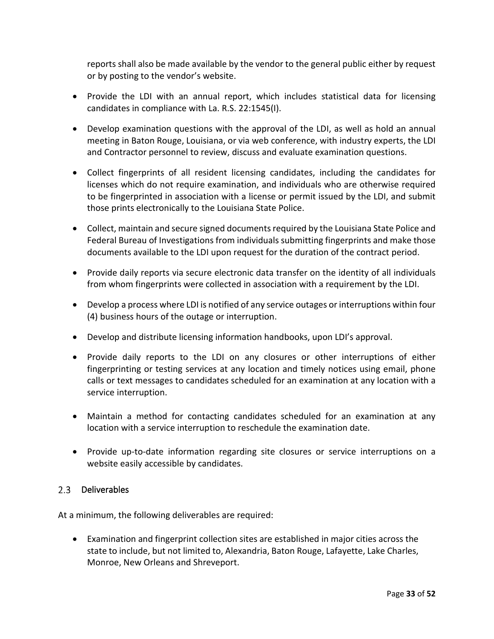reports shall also be made available by the vendor to the general public either by request or by posting to the vendor's website.

- Provide the LDI with an annual report, which includes statistical data for licensing candidates in compliance with La. R.S. 22:1545(I).
- Develop examination questions with the approval of the LDI, as well as hold an annual meeting in Baton Rouge, Louisiana, or via web conference, with industry experts, the LDI and Contractor personnel to review, discuss and evaluate examination questions.
- Collect fingerprints of all resident licensing candidates, including the candidates for licenses which do not require examination, and individuals who are otherwise required to be fingerprinted in association with a license or permit issued by the LDI, and submit those prints electronically to the Louisiana State Police.
- Collect, maintain and secure signed documents required by the Louisiana State Police and Federal Bureau of Investigations from individuals submitting fingerprints and make those documents available to the LDI upon request for the duration of the contract period.
- Provide daily reports via secure electronic data transfer on the identity of all individuals from whom fingerprints were collected in association with a requirement by the LDI.
- Develop a process where LDI is notified of any service outages or interruptions within four (4) business hours of the outage or interruption.
- Develop and distribute licensing information handbooks, upon LDI's approval.
- Provide daily reports to the LDI on any closures or other interruptions of either fingerprinting or testing services at any location and timely notices using email, phone calls or text messages to candidates scheduled for an examination at any location with a service interruption.
- Maintain a method for contacting candidates scheduled for an examination at any location with a service interruption to reschedule the examination date.
- Provide up-to-date information regarding site closures or service interruptions on a website easily accessible by candidates.

### <span id="page-32-0"></span>2.3 Deliverables

At a minimum, the following deliverables are required:

• Examination and fingerprint collection sites are established in major cities across the state to include, but not limited to, Alexandria, Baton Rouge, Lafayette, Lake Charles, Monroe, New Orleans and Shreveport.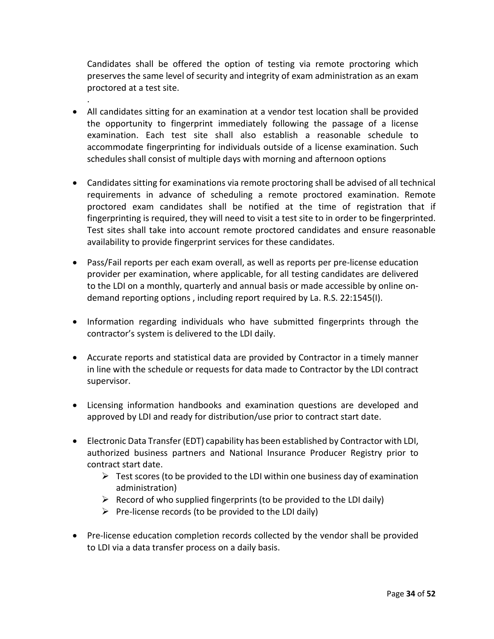Candidates shall be offered the option of testing via remote proctoring which preserves the same level of security and integrity of exam administration as an exam proctored at a test site.

• All candidates sitting for an examination at a vendor test location shall be provided the opportunity to fingerprint immediately following the passage of a license examination. Each test site shall also establish a reasonable schedule to accommodate fingerprinting for individuals outside of a license examination. Such schedules shall consist of multiple days with morning and afternoon options

.

- Candidates sitting for examinations via remote proctoring shall be advised of all technical requirements in advance of scheduling a remote proctored examination. Remote proctored exam candidates shall be notified at the time of registration that if fingerprinting is required, they will need to visit a test site to in order to be fingerprinted. Test sites shall take into account remote proctored candidates and ensure reasonable availability to provide fingerprint services for these candidates.
- Pass/Fail reports per each exam overall, as well as reports per pre-license education provider per examination, where applicable, for all testing candidates are delivered to the LDI on a monthly, quarterly and annual basis or made accessible by online ondemand reporting options , including report required by La. R.S. 22:1545(I).
- Information regarding individuals who have submitted fingerprints through the contractor's system is delivered to the LDI daily.
- Accurate reports and statistical data are provided by Contractor in a timely manner in line with the schedule or requests for data made to Contractor by the LDI contract supervisor.
- Licensing information handbooks and examination questions are developed and approved by LDI and ready for distribution/use prior to contract start date.
- Electronic Data Transfer (EDT) capability has been established by Contractor with LDI, authorized business partners and National Insurance Producer Registry prior to contract start date.
	- $\triangleright$  Test scores (to be provided to the LDI within one business day of examination administration)
	- $\triangleright$  Record of who supplied fingerprints (to be provided to the LDI daily)
	- $\triangleright$  Pre-license records (to be provided to the LDI daily)
- Pre-license education completion records collected by the vendor shall be provided to LDI via a data transfer process on a daily basis.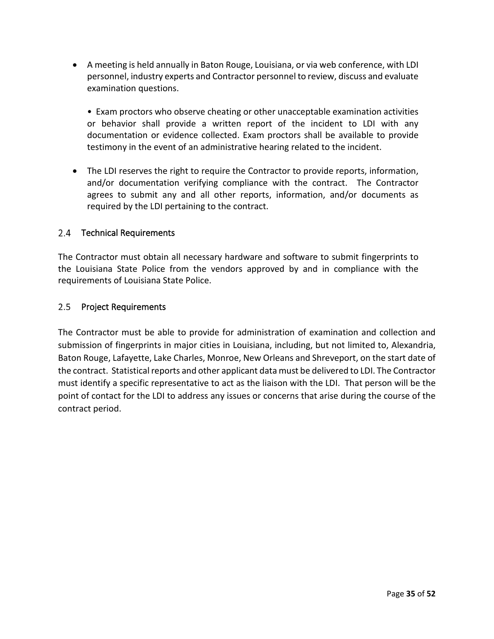• A meeting is held annually in Baton Rouge, Louisiana, or via web conference, with LDI personnel, industry experts and Contractor personnel to review, discuss and evaluate examination questions.

• Exam proctors who observe cheating or other unacceptable examination activities or behavior shall provide a written report of the incident to LDI with any documentation or evidence collected. Exam proctors shall be available to provide testimony in the event of an administrative hearing related to the incident.

• The LDI reserves the right to require the Contractor to provide reports, information, and/or documentation verifying compliance with the contract. The Contractor agrees to submit any and all other reports, information, and/or documents as required by the LDI pertaining to the contract.

#### <span id="page-34-0"></span>2.4 Technical Requirements

The Contractor must obtain all necessary hardware and software to submit fingerprints to the Louisiana State Police from the vendors approved by and in compliance with the requirements of Louisiana State Police.

#### <span id="page-34-1"></span>2.5 Project Requirements

The Contractor must be able to provide for administration of examination and collection and submission of fingerprints in major cities in Louisiana, including, but not limited to, Alexandria, Baton Rouge, Lafayette, Lake Charles, Monroe, New Orleans and Shreveport, on the start date of the contract. Statistical reports and other applicant data must be delivered to LDI. The Contractor must identify a specific representative to act as the liaison with the LDI. That person will be the point of contact for the LDI to address any issues or concerns that arise during the course of the contract period.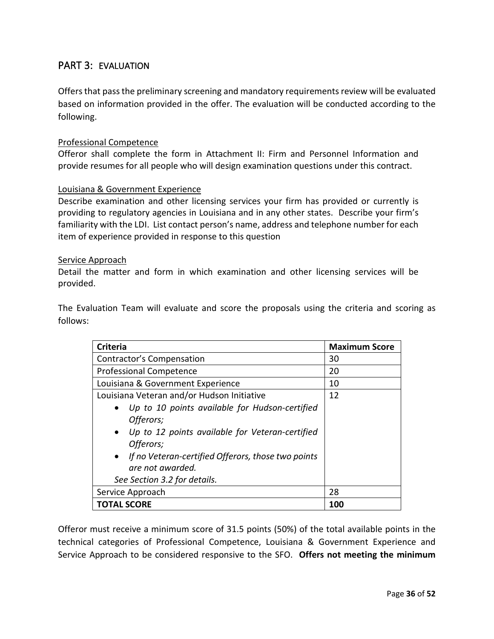### <span id="page-35-0"></span>PART 3: EVALUATION

Offers that pass the preliminary screening and mandatory requirements review will be evaluated based on information provided in the offer. The evaluation will be conducted according to the following.

#### Professional Competence

Offeror shall complete the form in Attachment II: Firm and Personnel Information and provide resumes for all people who will design examination questions under this contract.

#### Louisiana & Government Experience

Describe examination and other licensing services your firm has provided or currently is providing to regulatory agencies in Louisiana and in any other states. Describe your firm's familiarity with the LDI. List contact person's name, address and telephone number for each item of experience provided in response to this question

#### Service Approach

Detail the matter and form in which examination and other licensing services will be provided.

The Evaluation Team will evaluate and score the proposals using the criteria and scoring as follows:

| <b>Criteria</b>                                                 | <b>Maximum Score</b> |
|-----------------------------------------------------------------|----------------------|
| <b>Contractor's Compensation</b>                                | 30                   |
| <b>Professional Competence</b>                                  | 20                   |
| Louisiana & Government Experience                               | 10                   |
| Louisiana Veteran and/or Hudson Initiative                      | 12                   |
| Up to 10 points available for Hudson-certified                  |                      |
| Offerors;                                                       |                      |
| Up to 12 points available for Veteran-certified<br>$\bullet$    |                      |
| Offerors;                                                       |                      |
| If no Veteran-certified Offerors, those two points<br>$\bullet$ |                      |
| are not awarded.                                                |                      |
| See Section 3.2 for details.                                    |                      |
| Service Approach                                                | 28                   |
| <b>TOTAL SCORE</b>                                              | 100                  |

Offeror must receive a minimum score of 31.5 points (50%) of the total available points in the technical categories of Professional Competence, Louisiana & Government Experience and Service Approach to be considered responsive to the SFO. **Offers not meeting the minimum**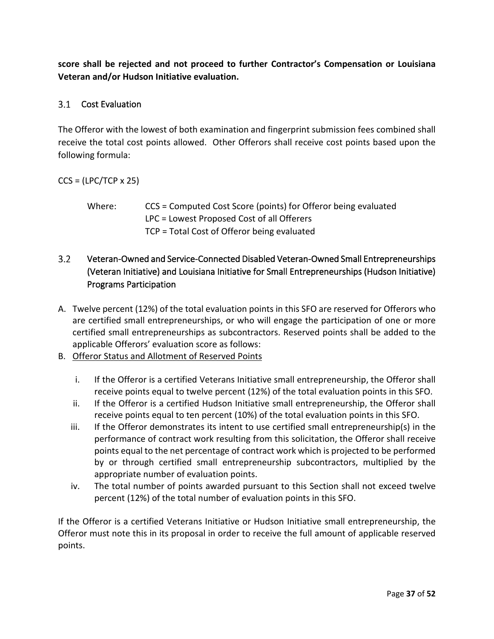**score shall be rejected and not proceed to further Contractor's Compensation or Louisiana Veteran and/or Hudson Initiative evaluation.**

### <span id="page-36-0"></span>3.1 Cost Evaluation

The Offeror with the lowest of both examination and fingerprint submission fees combined shall receive the total cost points allowed. Other Offerors shall receive cost points based upon the following formula:

#### $CCS = (LPC/TCP \times 25)$

Where: CCS = Computed Cost Score (points) for Offeror being evaluated LPC = Lowest Proposed Cost of all Offerers TCP = Total Cost of Offeror being evaluated

#### <span id="page-36-1"></span> $3.2$ Veteran-Owned and Service-Connected Disabled Veteran-Owned Small Entrepreneurships (Veteran Initiative) and Louisiana Initiative for Small Entrepreneurships (Hudson Initiative) Programs Participation

- A. Twelve percent (12%) of the total evaluation points in this SFO are reserved for Offerors who are certified small entrepreneurships, or who will engage the participation of one or more certified small entrepreneurships as subcontractors. Reserved points shall be added to the applicable Offerors' evaluation score as follows:
- B. Offeror Status and Allotment of Reserved Points
	- i. If the Offeror is a certified Veterans Initiative small entrepreneurship, the Offeror shall receive points equal to twelve percent (12%) of the total evaluation points in this SFO.
	- ii. If the Offeror is a certified Hudson Initiative small entrepreneurship, the Offeror shall receive points equal to ten percent (10%) of the total evaluation points in this SFO.
	- iii. If the Offeror demonstrates its intent to use certified small entrepreneurship(s) in the performance of contract work resulting from this solicitation, the Offeror shall receive points equal to the net percentage of contract work which is projected to be performed by or through certified small entrepreneurship subcontractors, multiplied by the appropriate number of evaluation points.
	- iv. The total number of points awarded pursuant to this Section shall not exceed twelve percent (12%) of the total number of evaluation points in this SFO.

If the Offeror is a certified Veterans Initiative or Hudson Initiative small entrepreneurship, the Offeror must note this in its proposal in order to receive the full amount of applicable reserved points.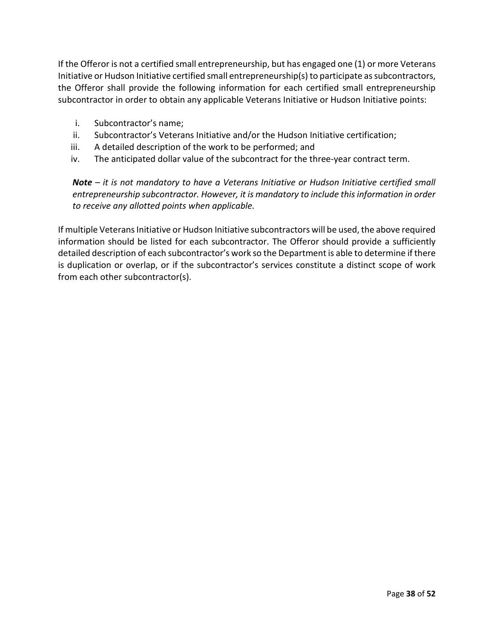If the Offeror is not a certified small entrepreneurship, but has engaged one (1) or more Veterans Initiative or Hudson Initiative certified small entrepreneurship(s) to participate as subcontractors, the Offeror shall provide the following information for each certified small entrepreneurship subcontractor in order to obtain any applicable Veterans Initiative or Hudson Initiative points:

- i. Subcontractor's name;
- ii. Subcontractor's Veterans Initiative and/or the Hudson Initiative certification;
- iii. A detailed description of the work to be performed; and
- iv. The anticipated dollar value of the subcontract for the three-year contract term.

*Note – it is not mandatory to have a Veterans Initiative or Hudson Initiative certified small entrepreneurship subcontractor. However, it is mandatory to include this information in order to receive any allotted points when applicable.* 

If multiple Veterans Initiative or Hudson Initiative subcontractors will be used, the above required information should be listed for each subcontractor. The Offeror should provide a sufficiently detailed description of each subcontractor's work so the Department is able to determine if there is duplication or overlap, or if the subcontractor's services constitute a distinct scope of work from each other subcontractor(s).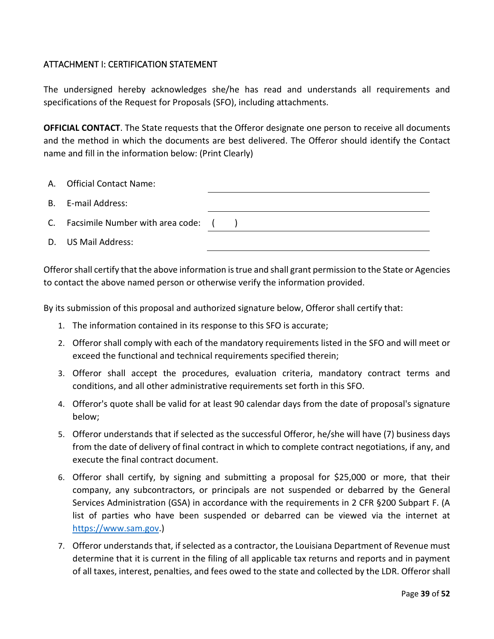### <span id="page-38-0"></span>ATTACHMENT I: CERTIFICATION STATEMENT

The undersigned hereby acknowledges she/he has read and understands all requirements and specifications of the Request for Proposals (SFO), including attachments.

**OFFICIAL CONTACT**. The State requests that the Offeror designate one person to receive all documents and the method in which the documents are best delivered. The Offeror should identify the Contact name and fill in the information below: (Print Clearly)

| A. Official Contact Name:           |  |
|-------------------------------------|--|
| B. E-mail Address:                  |  |
| C. Facsimile Number with area code: |  |
| D. US Mail Address:                 |  |

Offeror shall certify that the above information is true and shall grant permission to the State or Agencies to contact the above named person or otherwise verify the information provided.

By its submission of this proposal and authorized signature below, Offeror shall certify that:

- 1. The information contained in its response to this SFO is accurate;
- 2. Offeror shall comply with each of the mandatory requirements listed in the SFO and will meet or exceed the functional and technical requirements specified therein;
- 3. Offeror shall accept the procedures, evaluation criteria, mandatory contract terms and conditions, and all other administrative requirements set forth in this SFO.
- 4. Offeror's quote shall be valid for at least 90 calendar days from the date of proposal's signature below;
- 5. Offeror understands that if selected as the successful Offeror, he/she will have (7) business days from the date of delivery of final contract in which to complete contract negotiations, if any, and execute the final contract document.
- 6. Offeror shall certify, by signing and submitting a proposal for \$25,000 or more, that their company, any subcontractors, or principals are not suspended or debarred by the General Services Administration (GSA) in accordance with the requirements in 2 CFR §200 Subpart F. (A list of parties who have been suspended or debarred can be viewed via the internet at [https://www.sam.gov.](https://www.sam.gov/))
- 7. Offeror understands that, if selected as a contractor, the Louisiana Department of Revenue must determine that it is current in the filing of all applicable tax returns and reports and in payment of all taxes, interest, penalties, and fees owed to the state and collected by the LDR. Offeror shall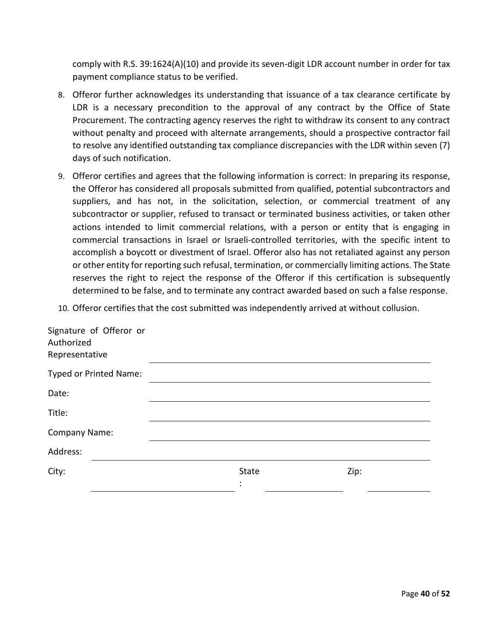comply with R.S. 39:1624(A)(10) and provide its seven-digit LDR account number in order for tax payment compliance status to be verified.

- 8. Offeror further acknowledges its understanding that issuance of a tax clearance certificate by LDR is a necessary precondition to the approval of any contract by the Office of State Procurement. The contracting agency reserves the right to withdraw its consent to any contract without penalty and proceed with alternate arrangements, should a prospective contractor fail to resolve any identified outstanding tax compliance discrepancies with the LDR within seven (7) days of such notification.
- 9. Offeror certifies and agrees that the following information is correct: In preparing its response, the Offeror has considered all proposals submitted from qualified, potential subcontractors and suppliers, and has not, in the solicitation, selection, or commercial treatment of any subcontractor or supplier, refused to transact or terminated business activities, or taken other actions intended to limit commercial relations, with a person or entity that is engaging in commercial transactions in Israel or Israeli-controlled territories, with the specific intent to accomplish a boycott or divestment of Israel. Offeror also has not retaliated against any person or other entity for reporting such refusal, termination, or commercially limiting actions. The State reserves the right to reject the response of the Offeror if this certification is subsequently determined to be false, and to terminate any contract awarded based on such a false response.
- 10. Offeror certifies that the cost submitted was independently arrived at without collusion.

| State | Zip: |
|-------|------|
|       |      |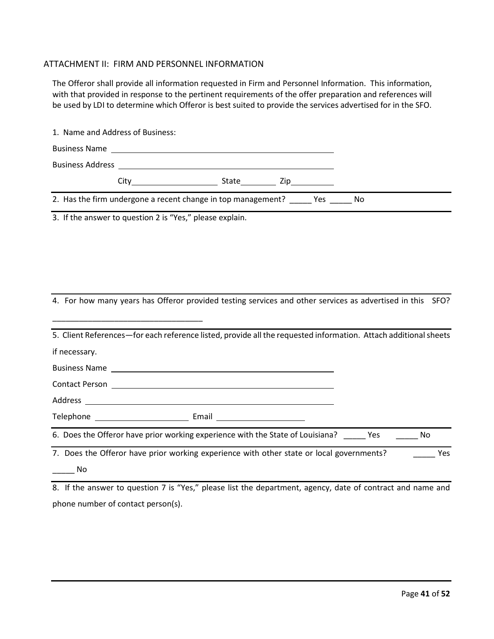#### <span id="page-40-0"></span>ATTACHMENT II: FIRM AND PERSONNEL INFORMATION

The Offeror shall provide all information requested in Firm and Personnel Information. This information, with that provided in response to the pertinent requirements of the offer preparation and references will be used by LDI to determine which Offeror is best suited to provide the services advertised for in the SFO.

|                             | 1. Name and Address of Business: |                                                                                                                 |  |           |
|-----------------------------|----------------------------------|-----------------------------------------------------------------------------------------------------------------|--|-----------|
|                             |                                  |                                                                                                                 |  |           |
|                             |                                  |                                                                                                                 |  |           |
|                             |                                  |                                                                                                                 |  |           |
|                             |                                  | 2. Has the firm undergone a recent change in top management? _______ Yes _______ No                             |  |           |
|                             |                                  | 3. If the answer to question 2 is "Yes," please explain.                                                        |  |           |
|                             |                                  |                                                                                                                 |  |           |
|                             |                                  |                                                                                                                 |  |           |
|                             |                                  |                                                                                                                 |  |           |
|                             |                                  |                                                                                                                 |  |           |
|                             |                                  | 4. For how many years has Offeror provided testing services and other services as advertised in this SFO?       |  |           |
|                             |                                  |                                                                                                                 |  |           |
|                             |                                  | 5. Client References-for each reference listed, provide all the requested information. Attach additional sheets |  |           |
| if necessary.               |                                  |                                                                                                                 |  |           |
|                             |                                  |                                                                                                                 |  |           |
|                             |                                  |                                                                                                                 |  |           |
|                             |                                  |                                                                                                                 |  |           |
|                             |                                  |                                                                                                                 |  |           |
|                             |                                  | 6. Does the Offeror have prior working experience with the State of Louisiana? Yes                              |  | <b>No</b> |
|                             |                                  | 7. Does the Offeror have prior working experience with other state or local governments?                        |  | Yes       |
| $\overline{\phantom{a}}$ No |                                  |                                                                                                                 |  |           |
|                             |                                  | 0. If the anguing to question 7 is "Vec" places list the department exercy, date of contract and name and       |  |           |

8. If the answer to question 7 is "Yes," please list the department, agency, date of contract and name and phone number of contact person(s).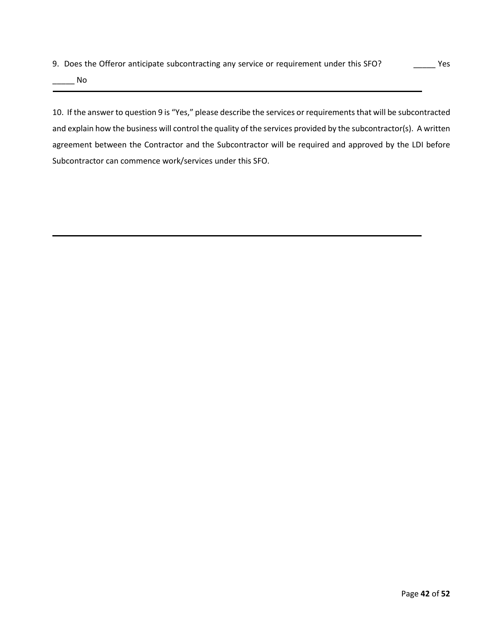9. Does the Offeror anticipate subcontracting any service or requirement under this SFO? \_\_\_\_\_\_\_\_\_ Yes

\_\_\_\_\_ No

10. If the answer to question 9 is "Yes," please describe the services or requirements that will be subcontracted and explain how the business will control the quality of the services provided by the subcontractor(s). A written agreement between the Contractor and the Subcontractor will be required and approved by the LDI before Subcontractor can commence work/services under this SFO.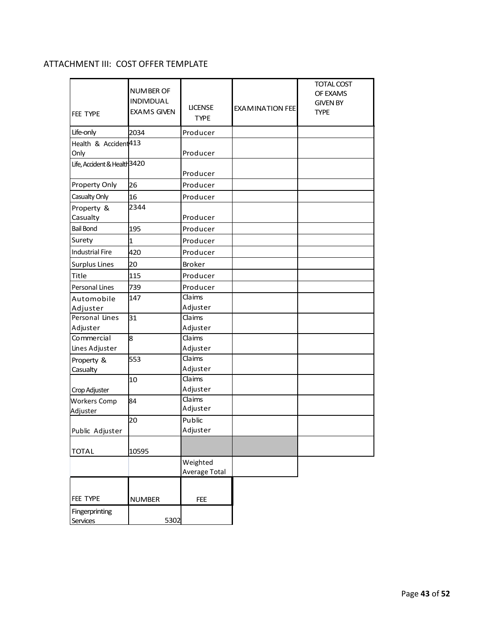## <span id="page-42-0"></span>ATTACHMENT III: COST OFFER TEMPLATE

| FEE TYPE                         | NUMBER OF<br><b>INDIVIDUAL</b><br><b>EXAMS GIVEN</b> | <b>LICENSE</b><br><b>TYPE</b> | <b>EXAMINATION FEE</b> | <b>TOTAL COST</b><br>OF EXAMS<br><b>GIVEN BY</b><br><b>TYPE</b> |
|----------------------------------|------------------------------------------------------|-------------------------------|------------------------|-----------------------------------------------------------------|
| Life-only                        | 2034                                                 | Producer                      |                        |                                                                 |
| Health & Accident <sup>413</sup> |                                                      |                               |                        |                                                                 |
| Only                             |                                                      | Producer                      |                        |                                                                 |
| Life, Accident & Health 3420     |                                                      | Producer                      |                        |                                                                 |
| Property Only                    | 26                                                   | Producer                      |                        |                                                                 |
| Casualty Only                    | 16                                                   | Producer                      |                        |                                                                 |
| Property &                       | 2344                                                 |                               |                        |                                                                 |
| Casualty                         |                                                      | Producer                      |                        |                                                                 |
| <b>Bail Bond</b>                 | 195                                                  | Producer                      |                        |                                                                 |
| Surety                           | $\mathbf{1}$                                         | Producer                      |                        |                                                                 |
| <b>Industrial Fire</b>           | 420                                                  | Producer                      |                        |                                                                 |
| <b>Surplus Lines</b>             | 20                                                   | <b>Broker</b>                 |                        |                                                                 |
| Title                            | 115                                                  | Producer                      |                        |                                                                 |
| Personal Lines                   | 739                                                  | Producer                      |                        |                                                                 |
| Automobile                       | 147                                                  | Claims                        |                        |                                                                 |
| Adjuster                         |                                                      | Adjuster                      |                        |                                                                 |
| Personal Lines                   | 31                                                   | Claims                        |                        |                                                                 |
| Adjuster                         |                                                      | Adjuster                      |                        |                                                                 |
| Commercial                       | 8                                                    | Claims                        |                        |                                                                 |
| Lines Adjuster                   |                                                      | Adjuster                      |                        |                                                                 |
| Property &                       | 553                                                  | Claims                        |                        |                                                                 |
| Casualty                         |                                                      | Adjuster                      |                        |                                                                 |
|                                  | 10                                                   | Claims                        |                        |                                                                 |
| Crop Adjuster                    |                                                      | Adjuster                      |                        |                                                                 |
| <b>Workers Comp</b>              | 84                                                   | Claims                        |                        |                                                                 |
| Adjuster                         |                                                      | Adjuster                      |                        |                                                                 |
|                                  | 20                                                   | Public                        |                        |                                                                 |
| Public Adjuster                  |                                                      | Adjuster                      |                        |                                                                 |
| <b>TOTAL</b>                     | 10595                                                |                               |                        |                                                                 |
|                                  |                                                      | Weighted                      |                        |                                                                 |
|                                  |                                                      | Average Total                 |                        |                                                                 |
|                                  |                                                      |                               |                        |                                                                 |
| FEE TYPE                         | <b>NUMBER</b>                                        | <b>FEE</b>                    |                        |                                                                 |
| Fingerprinting                   |                                                      |                               |                        |                                                                 |
| 5302<br>Services                 |                                                      |                               |                        |                                                                 |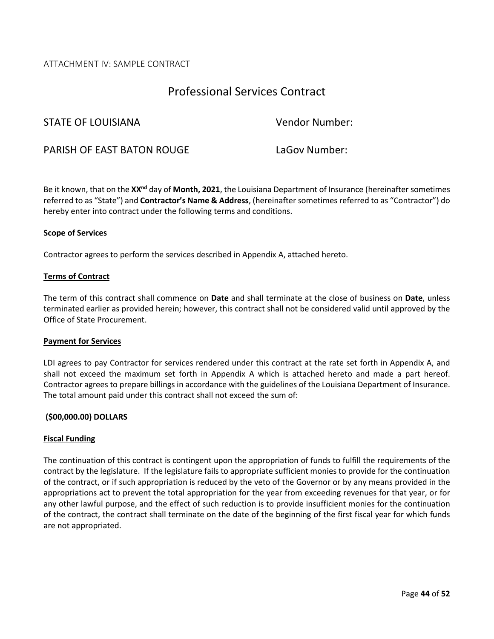#### <span id="page-43-0"></span>ATTACHMENT IV: SAMPLE CONTRACT

# Professional Services Contract

#### STATE OF LOUISIANA Vendor Number:

PARISH OF EAST BATON ROUGE LaGov Number:

Be it known, that on the **XXnd** day of **Month, 2021**, the Louisiana Department of Insurance (hereinafter sometimes referred to as "State") and **Contractor's Name & Address**, (hereinafter sometimes referred to as "Contractor") do hereby enter into contract under the following terms and conditions.

#### **Scope of Services**

Contractor agrees to perform the services described in Appendix A, attached hereto.

#### **Terms of Contract**

The term of this contract shall commence on **Date** and shall terminate at the close of business on **Date**, unless terminated earlier as provided herein; however, this contract shall not be considered valid until approved by the Office of State Procurement.

#### **Payment for Services**

LDI agrees to pay Contractor for services rendered under this contract at the rate set forth in Appendix A, and shall not exceed the maximum set forth in Appendix A which is attached hereto and made a part hereof. Contractor agrees to prepare billings in accordance with the guidelines of the Louisiana Department of Insurance. The total amount paid under this contract shall not exceed the sum of:

#### **(\$00,000.00) DOLLARS**

#### **Fiscal Funding**

The continuation of this contract is contingent upon the appropriation of funds to fulfill the requirements of the contract by the legislature. If the legislature fails to appropriate sufficient monies to provide for the continuation of the contract, or if such appropriation is reduced by the veto of the Governor or by any means provided in the appropriations act to prevent the total appropriation for the year from exceeding revenues for that year, or for any other lawful purpose, and the effect of such reduction is to provide insufficient monies for the continuation of the contract, the contract shall terminate on the date of the beginning of the first fiscal year for which funds are not appropriated.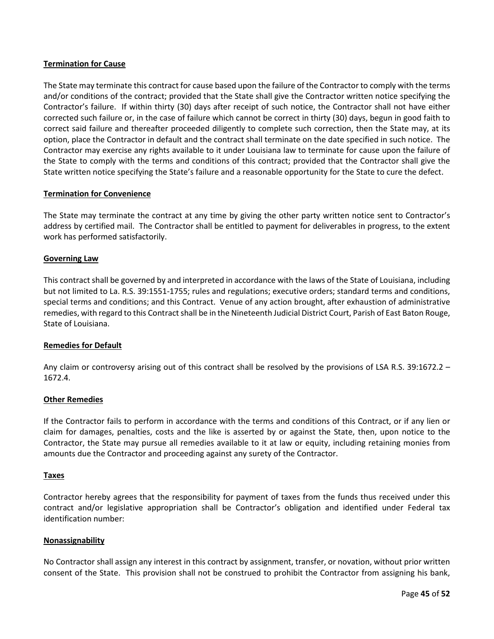#### **Termination for Cause**

The State may terminate this contract for cause based upon the failure of the Contractor to comply with the terms and/or conditions of the contract; provided that the State shall give the Contractor written notice specifying the Contractor's failure. If within thirty (30) days after receipt of such notice, the Contractor shall not have either corrected such failure or, in the case of failure which cannot be correct in thirty (30) days, begun in good faith to correct said failure and thereafter proceeded diligently to complete such correction, then the State may, at its option, place the Contractor in default and the contract shall terminate on the date specified in such notice. The Contractor may exercise any rights available to it under Louisiana law to terminate for cause upon the failure of the State to comply with the terms and conditions of this contract; provided that the Contractor shall give the State written notice specifying the State's failure and a reasonable opportunity for the State to cure the defect.

#### **Termination for Convenience**

The State may terminate the contract at any time by giving the other party written notice sent to Contractor's address by certified mail. The Contractor shall be entitled to payment for deliverables in progress, to the extent work has performed satisfactorily.

#### **Governing Law**

This contract shall be governed by and interpreted in accordance with the laws of the State of Louisiana, including but not limited to La. R.S. 39:1551-1755; rules and regulations; executive orders; standard terms and conditions, special terms and conditions; and this Contract. Venue of any action brought, after exhaustion of administrative remedies, with regard to this Contract shall be in the Nineteenth Judicial District Court, Parish of East Baton Rouge, State of Louisiana.

#### **Remedies for Default**

Any claim or controversy arising out of this contract shall be resolved by the provisions of LSA R.S. 39:1672.2 – 1672.4.

#### **Other Remedies**

If the Contractor fails to perform in accordance with the terms and conditions of this Contract, or if any lien or claim for damages, penalties, costs and the like is asserted by or against the State, then, upon notice to the Contractor, the State may pursue all remedies available to it at law or equity, including retaining monies from amounts due the Contractor and proceeding against any surety of the Contractor.

#### **Taxes**

Contractor hereby agrees that the responsibility for payment of taxes from the funds thus received under this contract and/or legislative appropriation shall be Contractor's obligation and identified under Federal tax identification number:

#### **Nonassignability**

No Contractor shall assign any interest in this contract by assignment, transfer, or novation, without prior written consent of the State. This provision shall not be construed to prohibit the Contractor from assigning his bank,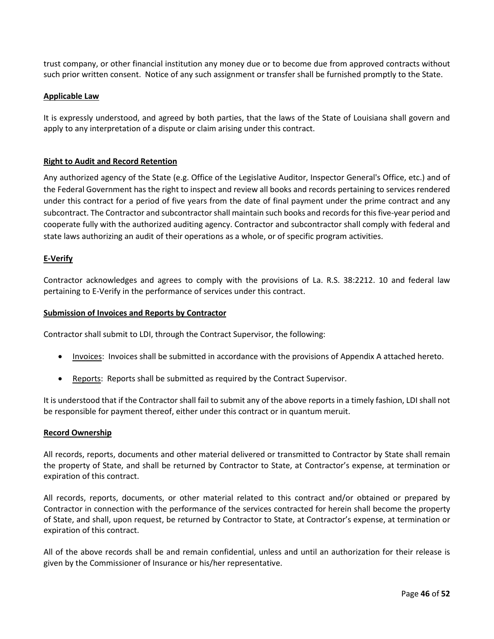trust company, or other financial institution any money due or to become due from approved contracts without such prior written consent. Notice of any such assignment or transfer shall be furnished promptly to the State.

#### **Applicable Law**

It is expressly understood, and agreed by both parties, that the laws of the State of Louisiana shall govern and apply to any interpretation of a dispute or claim arising under this contract.

#### **Right to Audit and Record Retention**

Any authorized agency of the State (e.g. Office of the Legislative Auditor, Inspector General's Office, etc.) and of the Federal Government has the right to inspect and review all books and records pertaining to services rendered under this contract for a period of five years from the date of final payment under the prime contract and any subcontract. The Contractor and subcontractor shall maintain such books and records for this five-year period and cooperate fully with the authorized auditing agency. Contractor and subcontractor shall comply with federal and state laws authorizing an audit of their operations as a whole, or of specific program activities.

#### **E-Verify**

Contractor acknowledges and agrees to comply with the provisions of La. R.S. 38:2212. 10 and federal law pertaining to E-Verify in the performance of services under this contract.

#### **Submission of Invoices and Reports by Contractor**

Contractor shall submit to LDI, through the Contract Supervisor, the following:

- Invoices: Invoices shall be submitted in accordance with the provisions of Appendix A attached hereto.
- Reports: Reports shall be submitted as required by the Contract Supervisor.

It is understood that if the Contractor shall fail to submit any of the above reports in a timely fashion, LDI shall not be responsible for payment thereof, either under this contract or in quantum meruit.

#### **Record Ownership**

All records, reports, documents and other material delivered or transmitted to Contractor by State shall remain the property of State, and shall be returned by Contractor to State, at Contractor's expense, at termination or expiration of this contract.

All records, reports, documents, or other material related to this contract and/or obtained or prepared by Contractor in connection with the performance of the services contracted for herein shall become the property of State, and shall, upon request, be returned by Contractor to State, at Contractor's expense, at termination or expiration of this contract.

All of the above records shall be and remain confidential, unless and until an authorization for their release is given by the Commissioner of Insurance or his/her representative.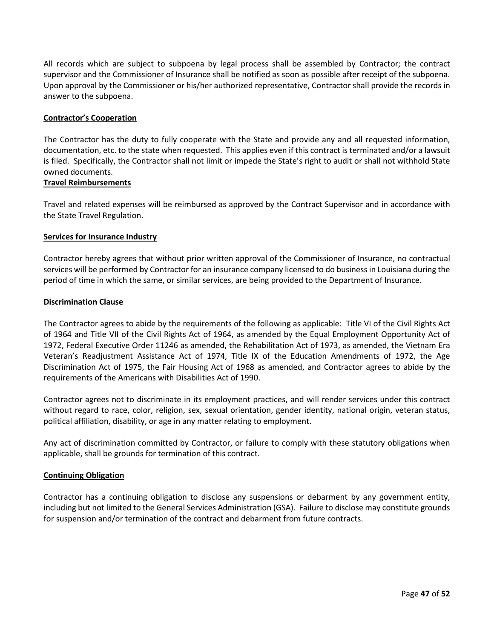All records which are subject to subpoena by legal process shall be assembled by Contractor; the contract supervisor and the Commissioner of Insurance shall be notified as soon as possible after receipt of the subpoena. Upon approval by the Commissioner or his/her authorized representative, Contractor shall provide the records in answer to the subpoena.

#### **Contractor's Cooperation**

The Contractor has the duty to fully cooperate with the State and provide any and all requested information, documentation, etc. to the state when requested. This applies even if this contract is terminated and/or a lawsuit is filed. Specifically, the Contractor shall not limit or impede the State's right to audit or shall not withhold State owned documents.

#### **Travel Reimbursements**

Travel and related expenses will be reimbursed as approved by the Contract Supervisor and in accordance with the State Travel Regulation.

#### **Services for Insurance Industry**

Contractor hereby agrees that without prior written approval of the Commissioner of Insurance, no contractual services will be performed by Contractor for an insurance company licensed to do business in Louisiana during the period of time in which the same, or similar services, are being provided to the Department of Insurance.

#### **Discrimination Clause**

The Contractor agrees to abide by the requirements of the following as applicable: Title VI of the Civil Rights Act of 1964 and Title VII of the Civil Rights Act of 1964, as amended by the Equal Employment Opportunity Act of 1972, Federal Executive Order 11246 as amended, the Rehabilitation Act of 1973, as amended, the Vietnam Era Veteran's Readjustment Assistance Act of 1974, Title IX of the Education Amendments of 1972, the Age Discrimination Act of 1975, the Fair Housing Act of 1968 as amended, and Contractor agrees to abide by the requirements of the Americans with Disabilities Act of 1990.

Contractor agrees not to discriminate in its employment practices, and will render services under this contract without regard to race, color, religion, sex, sexual orientation, gender identity, national origin, veteran status, political affiliation, disability, or age in any matter relating to employment.

Any act of discrimination committed by Contractor, or failure to comply with these statutory obligations when applicable, shall be grounds for termination of this contract.

#### **Continuing Obligation**

Contractor has a continuing obligation to disclose any suspensions or debarment by any government entity, including but not limited to the General Services Administration (GSA). Failure to disclose may constitute grounds for suspension and/or termination of the contract and debarment from future contracts.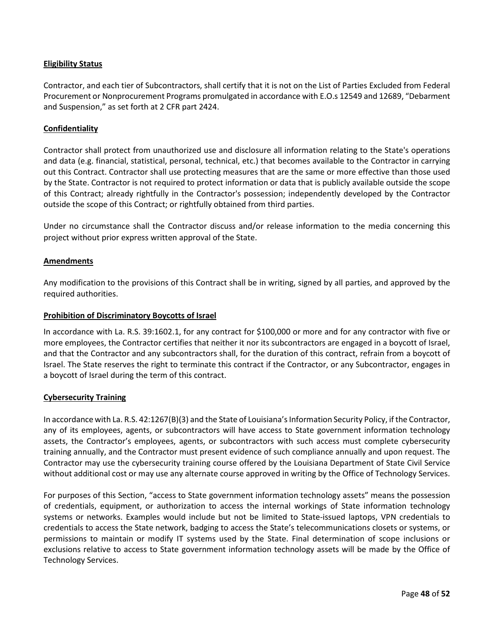#### **Eligibility Status**

Contractor, and each tier of Subcontractors, shall certify that it is not on the List of Parties Excluded from Federal Procurement or Nonprocurement Programs promulgated in accordance with E.O.s 12549 and 12689, "Debarment and Suspension," as set forth at 2 CFR part 2424.

#### **Confidentiality**

Contractor shall protect from unauthorized use and disclosure all information relating to the State's operations and data (e.g. financial, statistical, personal, technical, etc.) that becomes available to the Contractor in carrying out this Contract. Contractor shall use protecting measures that are the same or more effective than those used by the State. Contractor is not required to protect information or data that is publicly available outside the scope of this Contract; already rightfully in the Contractor's possession; independently developed by the Contractor outside the scope of this Contract; or rightfully obtained from third parties.

Under no circumstance shall the Contractor discuss and/or release information to the media concerning this project without prior express written approval of the State.

#### **Amendments**

Any modification to the provisions of this Contract shall be in writing, signed by all parties, and approved by the required authorities.

#### **Prohibition of Discriminatory Boycotts of Israel**

In accordance with La. R.S. 39:1602.1, for any contract for \$100,000 or more and for any contractor with five or more employees, the Contractor certifies that neither it nor its subcontractors are engaged in a boycott of Israel, and that the Contractor and any subcontractors shall, for the duration of this contract, refrain from a boycott of Israel. The State reserves the right to terminate this contract if the Contractor, or any Subcontractor, engages in a boycott of Israel during the term of this contract.

#### **Cybersecurity Training**

In accordance with La. R.S. 42:1267(B)(3) and the State of Louisiana's Information Security Policy, if the Contractor, any of its employees, agents, or subcontractors will have access to State government information technology assets, the Contractor's employees, agents, or subcontractors with such access must complete cybersecurity training annually, and the Contractor must present evidence of such compliance annually and upon request. The Contractor may use the cybersecurity training course offered by the Louisiana Department of State Civil Service without additional cost or may use any alternate course approved in writing by the Office of Technology Services.

For purposes of this Section, "access to State government information technology assets" means the possession of credentials, equipment, or authorization to access the internal workings of State information technology systems or networks. Examples would include but not be limited to State-issued laptops, VPN credentials to credentials to access the State network, badging to access the State's telecommunications closets or systems, or permissions to maintain or modify IT systems used by the State. Final determination of scope inclusions or exclusions relative to access to State government information technology assets will be made by the Office of Technology Services.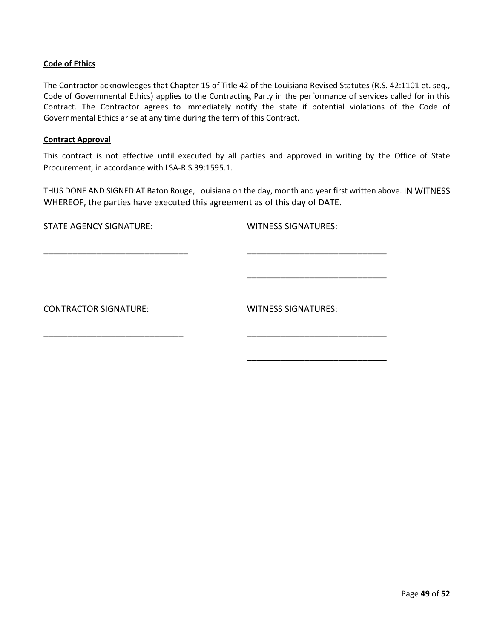#### **Code of Ethics**

The Contractor acknowledges that Chapter 15 of Title 42 of the Louisiana Revised Statutes (R.S. 42:1101 et. seq., Code of Governmental Ethics) applies to the Contracting Party in the performance of services called for in this Contract. The Contractor agrees to immediately notify the state if potential violations of the Code of Governmental Ethics arise at any time during the term of this Contract.

#### **Contract Approval**

This contract is not effective until executed by all parties and approved in writing by the Office of State Procurement, in accordance with LSA-R.S.39:1595.1.

THUS DONE AND SIGNED AT Baton Rouge, Louisiana on the day, month and year first written above. IN WITNESS WHEREOF, the parties have executed this agreement as of this day of DATE.

\_\_\_\_\_\_\_\_\_\_\_\_\_\_\_\_\_\_\_\_\_\_\_\_\_\_\_\_\_\_ \_\_\_\_\_\_\_\_\_\_\_\_\_\_\_\_\_\_\_\_\_\_\_\_\_\_\_\_\_

\_\_\_\_\_\_\_\_\_\_\_\_\_\_\_\_\_\_\_\_\_\_\_\_\_\_\_\_\_ \_\_\_\_\_\_\_\_\_\_\_\_\_\_\_\_\_\_\_\_\_\_\_\_\_\_\_\_\_

STATE AGENCY SIGNATURE: WITNESS SIGNATURES:

CONTRACTOR SIGNATURE: WITNESS SIGNATURES:

\_\_\_\_\_\_\_\_\_\_\_\_\_\_\_\_\_\_\_\_\_\_\_\_\_\_\_\_\_

\_\_\_\_\_\_\_\_\_\_\_\_\_\_\_\_\_\_\_\_\_\_\_\_\_\_\_\_\_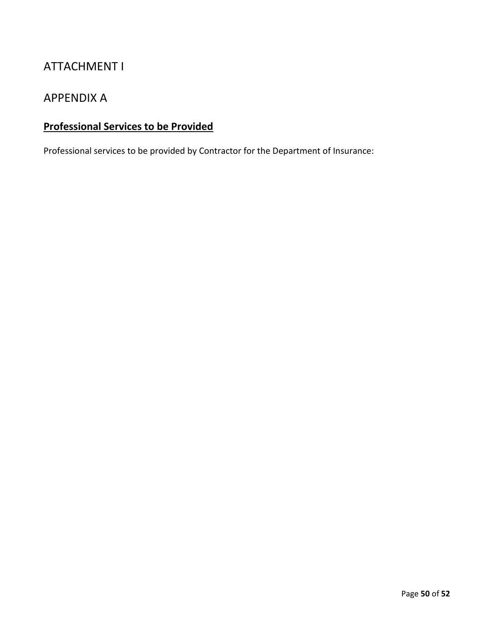# ATTACHMENT I

## APPENDIX A

# **Professional Services to be Provided**

Professional services to be provided by Contractor for the Department of Insurance: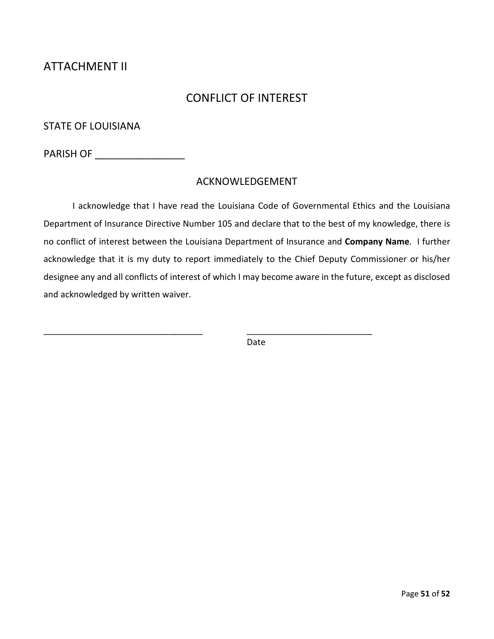# ATTACHMENT II

# CONFLICT OF INTEREST

STATE OF LOUISIANA

PARISH OF \_\_\_\_\_\_\_\_\_\_\_\_\_\_\_\_\_\_\_\_\_\_\_

### ACKNOWLEDGEMENT

I acknowledge that I have read the Louisiana Code of Governmental Ethics and the Louisiana Department of Insurance Directive Number 105 and declare that to the best of my knowledge, there is no conflict of interest between the Louisiana Department of Insurance and **Company Name**. I further acknowledge that it is my duty to report immediately to the Chief Deputy Commissioner or his/her designee any and all conflicts of interest of which I may become aware in the future, except as disclosed and acknowledged by written waiver.

Date

\_\_\_\_\_\_\_\_\_\_\_\_\_\_\_\_\_\_\_\_\_\_\_\_\_\_\_\_\_\_\_\_\_ \_\_\_\_\_\_\_\_\_\_\_\_\_\_\_\_\_\_\_\_\_\_\_\_\_\_